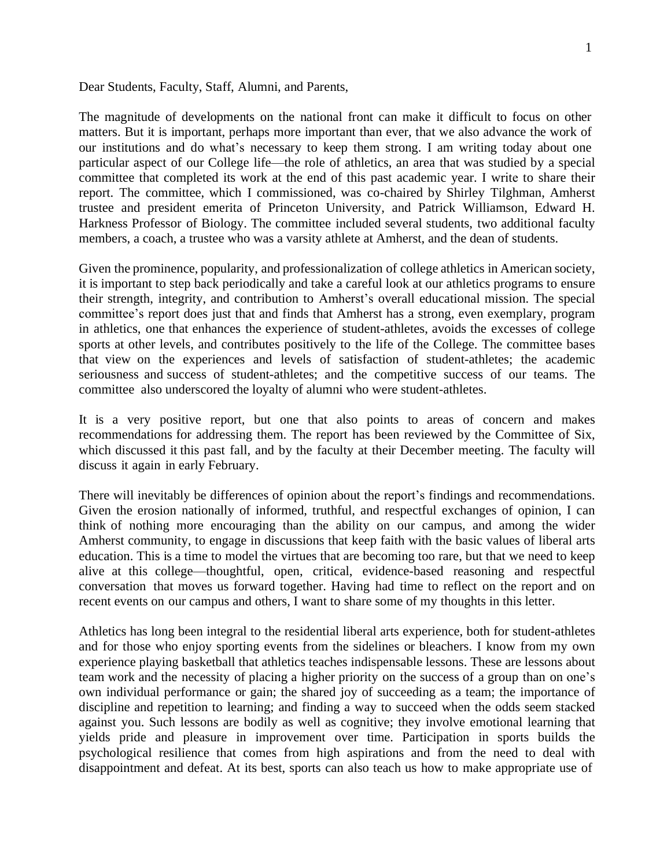Dear Students, Faculty, Staff, Alumni, and Parents,

The magnitude of developments on the national front can make it difficult to focus on other matters. But it is important, perhaps more important than ever, that we also advance the work of our institutions and do what's necessary to keep them strong. I am writing today about one particular aspect of our College life—the role of athletics, an area that was studied by a special committee that completed its work at the end of this past academic year. I write to share their report. The committee, which I commissioned, was co-chaired by Shirley Tilghman, Amherst trustee and president emerita of Princeton University, and Patrick Williamson, Edward H. Harkness Professor of Biology. The committee included several students, two additional faculty members, a coach, a trustee who was a varsity athlete at Amherst, and the dean of students.

Given the prominence, popularity, and professionalization of college athletics in American society, it is important to step back periodically and take a careful look at our athletics programs to ensure their strength, integrity, and contribution to Amherst's overall educational mission. The special committee's report does just that and finds that Amherst has a strong, even exemplary, program in athletics, one that enhances the experience of student-athletes, avoids the excesses of college sports at other levels, and contributes positively to the life of the College. The committee bases that view on the experiences and levels of satisfaction of student-athletes; the academic seriousness and success of student-athletes; and the competitive success of our teams. The committee also underscored the loyalty of alumni who were student-athletes.

It is a very positive report, but one that also points to areas of concern and makes recommendations for addressing them. The report has been reviewed by the Committee of Six, which discussed it this past fall, and by the faculty at their December meeting. The faculty will discuss it again in early February.

There will inevitably be differences of opinion about the report's findings and recommendations. Given the erosion nationally of informed, truthful, and respectful exchanges of opinion, I can think of nothing more encouraging than the ability on our campus, and among the wider Amherst community, to engage in discussions that keep faith with the basic values of liberal arts education. This is a time to model the virtues that are becoming too rare, but that we need to keep alive at this college—thoughtful, open, critical, evidence-based reasoning and respectful conversation that moves us forward together. Having had time to reflect on the report and on recent events on our campus and others, I want to share some of my thoughts in this letter.

Athletics has long been integral to the residential liberal arts experience, both for student-athletes and for those who enjoy sporting events from the sidelines or bleachers. I know from my own experience playing basketball that athletics teaches indispensable lessons. These are lessons about team work and the necessity of placing a higher priority on the success of a group than on one's own individual performance or gain; the shared joy of succeeding as a team; the importance of discipline and repetition to learning; and finding a way to succeed when the odds seem stacked against you. Such lessons are bodily as well as cognitive; they involve emotional learning that yields pride and pleasure in improvement over time. Participation in sports builds the psychological resilience that comes from high aspirations and from the need to deal with disappointment and defeat. At its best, sports can also teach us how to make appropriate use of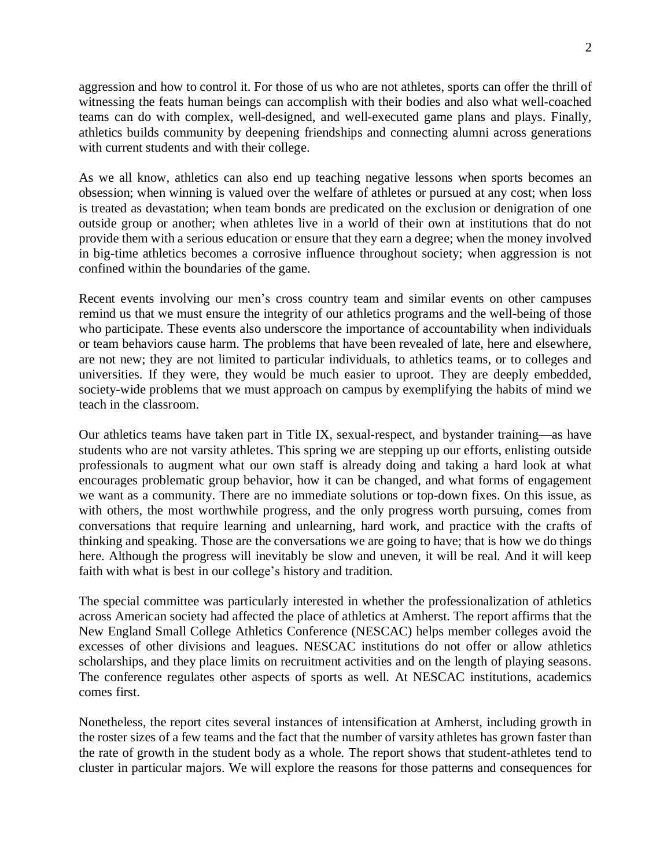aggression and how to control it. For those of us who are not athletes, sports can offer the thrill of witnessing the feats human beings can accomplish with their bodies and also what well-coached teams can do with complex, well-designed, and well-executed game plans and plays. Finally, athletics builds community by deepening friendships and connecting alumni across generations with current students and with their college.

As we all know, athletics can also end up teaching negative lessons when sports becomes an obsession; when winning is valued over the welfare of athletes or pursued at any cost; when loss is treated as devastation; when team bonds are predicated on the exclusion or denigration of one outside group or another; when athletes live in a world of their own at institutions that do not provide them with a serious education or ensure that they earn a degree; when the money involved in big-time athletics becomes a corrosive influence throughout society; when aggression is not confined within the boundaries of the game.

Recent events involving our men's cross country team and similar events on other campuses remind us that we must ensure the integrity of our athletics programs and the well-being of those who participate. These events also underscore the importance of accountability when individuals or team behaviors cause harm. The problems that have been revealed of late, here and elsewhere, are not new; they are not limited to particular individuals, to athletics teams, or to colleges and universities. If they were, they would be much easier to uproot. They are deeply embedded, society-wide problems that we must approach on campus by exemplifying the habits of mind we teach in the classroom.

Our athletics teams have taken part in Title IX, sexual-respect, and bystander training—as have students who are not varsity athletes. This spring we are stepping up our efforts, enlisting outside professionals to augment what our own staff is already doing and taking a hard look at what encourages problematic group behavior, how it can be changed, and what forms of engagement we want as a community. There are no immediate solutions or top-down fixes. On this issue, as with others, the most worthwhile progress, and the only progress worth pursuing, comes from conversations that require learning and unlearning, hard work, and practice with the crafts of thinking and speaking. Those are the conversations we are going to have; that is how we do things here. Although the progress will inevitably be slow and uneven, it will be real. And it will keep faith with what is best in our college's history and tradition.

The special committee was particularly interested in whether the professionalization of athletics across American society had affected the place of athletics at Amherst. The report affirms that the New England Small College Athletics Conference (NESCAC) helps member colleges avoid the excesses of other divisions and leagues. NESCAC institutions do not offer or allow athletics scholarships, and they place limits on recruitment activities and on the length of playing seasons. The conference regulates other aspects of sports as well. At NESCAC institutions, academics comes first.

Nonetheless, the report cites several instances of intensification at Amherst, including growth in the roster sizes of a few teams and the fact that the number of varsity athletes has grown faster than the rate of growth in the student body as a whole. The report shows that student-athletes tend to cluster in particular majors. We will explore the reasons for those patterns and consequences for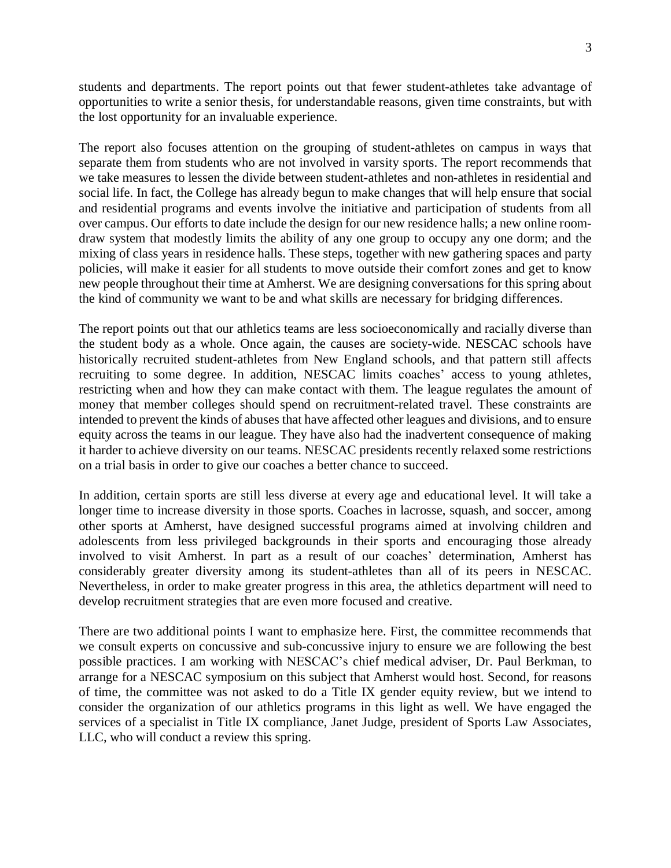students and departments. The report points out that fewer student-athletes take advantage of opportunities to write a senior thesis, for understandable reasons, given time constraints, but with the lost opportunity for an invaluable experience.

The report also focuses attention on the grouping of student-athletes on campus in ways that separate them from students who are not involved in varsity sports. The report recommends that we take measures to lessen the divide between student-athletes and non-athletes in residential and social life. In fact, the College has already begun to make changes that will help ensure that social and residential programs and events involve the initiative and participation of students from all over campus. Our efforts to date include the design for our new residence halls; a new online roomdraw system that modestly limits the ability of any one group to occupy any one dorm; and the mixing of class years in residence halls. These steps, together with new gathering spaces and party policies, will make it easier for all students to move outside their comfort zones and get to know new people throughout their time at Amherst. We are designing conversations for this spring about the kind of community we want to be and what skills are necessary for bridging differences.

The report points out that our athletics teams are less socioeconomically and racially diverse than the student body as a whole. Once again, the causes are society-wide. NESCAC schools have historically recruited student-athletes from New England schools, and that pattern still affects recruiting to some degree. In addition, NESCAC limits coaches' access to young athletes, restricting when and how they can make contact with them. The league regulates the amount of money that member colleges should spend on recruitment-related travel. These constraints are intended to prevent the kinds of abuses that have affected other leagues and divisions, and to ensure equity across the teams in our league. They have also had the inadvertent consequence of making it harder to achieve diversity on our teams. NESCAC presidents recently relaxed some restrictions on a trial basis in order to give our coaches a better chance to succeed.

In addition, certain sports are still less diverse at every age and educational level. It will take a longer time to increase diversity in those sports. Coaches in lacrosse, squash, and soccer, among other sports at Amherst, have designed successful programs aimed at involving children and adolescents from less privileged backgrounds in their sports and encouraging those already involved to visit Amherst. In part as a result of our coaches' determination, Amherst has considerably greater diversity among its student-athletes than all of its peers in NESCAC. Nevertheless, in order to make greater progress in this area, the athletics department will need to develop recruitment strategies that are even more focused and creative.

There are two additional points I want to emphasize here. First, the committee recommends that we consult experts on concussive and sub-concussive injury to ensure we are following the best possible practices. I am working with NESCAC's chief medical adviser, Dr. Paul Berkman, to arrange for a NESCAC symposium on this subject that Amherst would host. Second, for reasons of time, the committee was not asked to do a Title IX gender equity review, but we intend to consider the organization of our athletics programs in this light as well. We have engaged the services of a specialist in Title IX compliance, Janet Judge, president of Sports Law Associates, LLC, who will conduct a review this spring.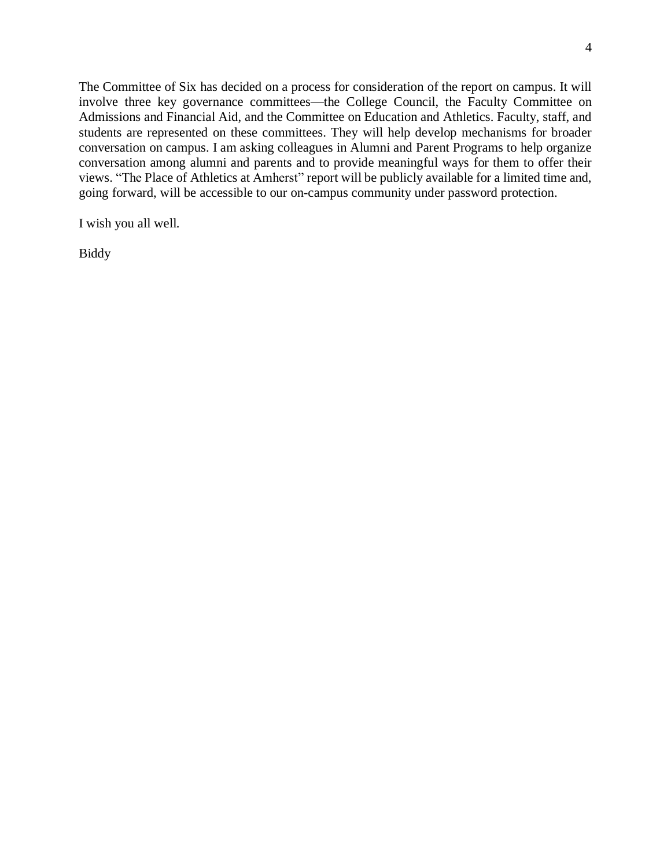The Committee of Six has decided on a process for consideration of the report on campus. It will involve three key governance committees—the College Council, the Faculty Committee on Admissions and Financial Aid, and the Committee on Education and Athletics. Faculty, staff, and students are represented on these committees. They will help develop mechanisms for broader conversation on campus. I am asking colleagues in Alumni and Parent Programs to help organize conversation among alumni and parents and to provide meaningful ways for them to offer their views. "The Place of Athletics at Amherst" report will be publicly available for a limited time and, going forward, will be accessible to our on-campus community under password protection.

I wish you all well.

Biddy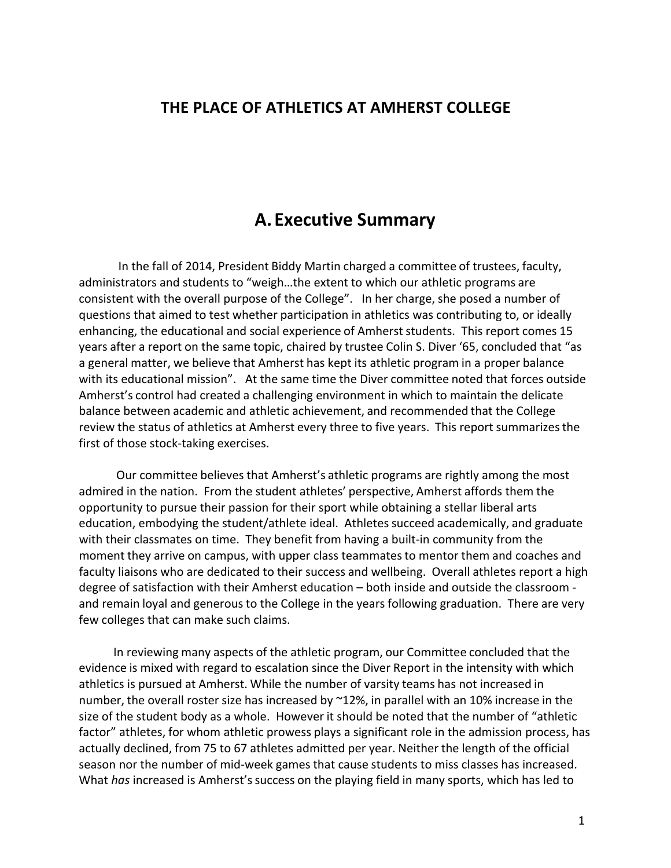### **THE PLACE OF ATHLETICS AT AMHERST COLLEGE**

### **A. Executive Summary**

In the fall of 2014, President Biddy Martin charged a committee of trustees, faculty, administrators and students to "weigh...the extent to which our athletic programs are consistent with the overall purpose of the College". In her charge, she posed a number of questions that aimed to test whether participation in athletics was contributing to, or ideally enhancing, the educational and social experience of Amherst students. This report comes 15 years after a report on the same topic, chaired by trustee Colin S. Diver '65, concluded that "as a general matter, we believe that Amherst has kept its athletic program in a proper balance with its educational mission". At the same time the Diver committee noted that forces outside Amherst's control had created a challenging environment in which to maintain the delicate balance between academic and athletic achievement, and recommended that the College review the status of athletics at Amherst every three to five years. This report summarizes the first of those stock-taking exercises.

Our committee believes that Amherst's athletic programs are rightly among the most admired in the nation. From the student athletes' perspective, Amherst affords them the opportunity to pursue their passion for their sport while obtaining a stellar liberal arts education, embodying the student/athlete ideal. Athletes succeed academically, and graduate with their classmates on time. They benefit from having a built-in community from the moment they arrive on campus, with upper class teammates to mentor them and coaches and faculty liaisons who are dedicated to their success and wellbeing. Overall athletes report a high degree of satisfaction with their Amherst education – both inside and outside the classroom and remain loyal and generous to the College in the years following graduation. There are very few colleges that can make such claims.

In reviewing many aspects of the athletic program, our Committee concluded that the evidence is mixed with regard to escalation since the Diver Report in the intensity with which athletics is pursued at Amherst. While the number of varsity teams has not increased in number, the overall roster size has increased by  $^{\sim}12\%$ , in parallel with an 10% increase in the size of the student body as a whole. However it should be noted that the number of "athletic factor" athletes, for whom athletic prowess plays a significant role in the admission process, has actually declined, from 75 to 67 athletes admitted per year. Neither the length of the official season nor the number of mid-week games that cause students to miss classes has increased. What *has* increased is Amherst's success on the playing field in many sports, which has led to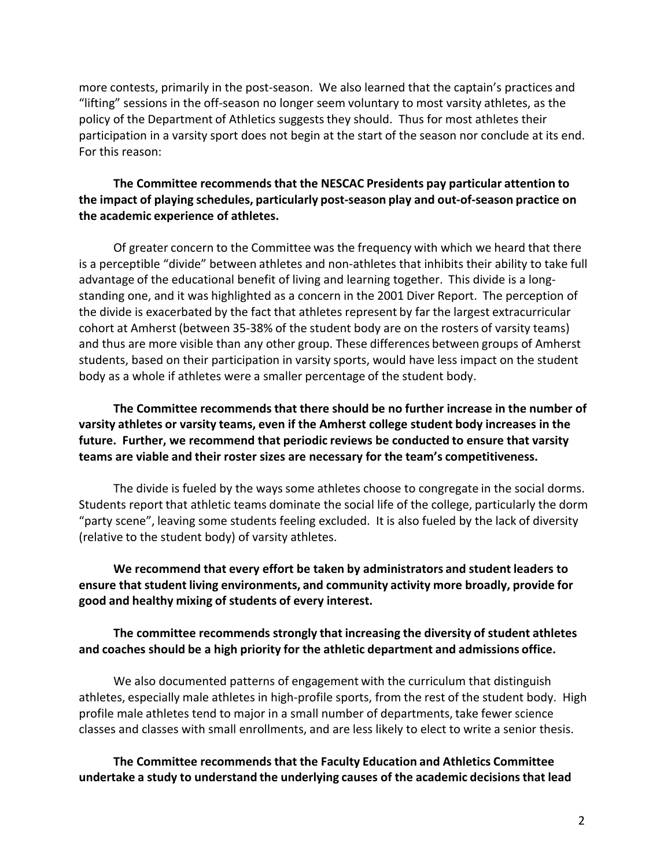more contests, primarily in the post-season. We also learned that the captain's practices and "lifting" sessions in the off-season no longer seem voluntary to most varsity athletes, as the policy of the Department of Athletics suggests they should. Thus for most athletes their participation in a varsity sport does not begin at the start of the season nor conclude at its end. For this reason:

#### **The Committee recommends that the NESCAC Presidents pay particular attention to the impact of playing schedules, particularly post-season play and out-of-season practice on the academic experience of athletes.**

Of greater concern to the Committee was the frequency with which we heard that there is a perceptible "divide" between athletes and non-athletes that inhibits their ability to take full advantage of the educational benefit of living and learning together. This divide is a longstanding one, and it was highlighted as a concern in the 2001 Diver Report. The perception of the divide is exacerbated by the fact that athletes represent by far the largest extracurricular cohort at Amherst (between 35-38% of the student body are on the rosters of varsity teams) and thus are more visible than any other group. These differences between groups of Amherst students, based on their participation in varsity sports, would have less impact on the student body as a whole if athletes were a smaller percentage of the student body.

**The Committee recommends that there should be no further increase in the number of varsity athletes or varsity teams, even if the Amherst college student body increases in the future. Further, we recommend that periodic reviews be conducted to ensure that varsity teams are viable and their roster sizes are necessary for the team's competitiveness.** 

The divide is fueled by the ways some athletes choose to congregate in the social dorms. Students report that athletic teams dominate the social life of the college, particularly the dorm "party scene", leaving some students feeling excluded. It is also fueled by the lack of diversity (relative to the student body) of varsity athletes.

**We recommend that every effort be taken by administrators and student leaders to ensure that student living environments, and community activity more broadly, provide for good and healthy mixing of students of every interest.**

#### **The committee recommends strongly that increasing the diversity of student athletes and coaches should be a high priority for the athletic department and admissions office.**

We also documented patterns of engagement with the curriculum that distinguish athletes, especially male athletes in high-profile sports, from the rest of the student body. High profile male athletes tend to major in a small number of departments, take fewer science classes and classes with small enrollments, and are less likely to elect to write a senior thesis.

**The Committee recommends that the Faculty Education and Athletics Committee undertake a study to understand the underlying causes of the academic decisionsthat lead**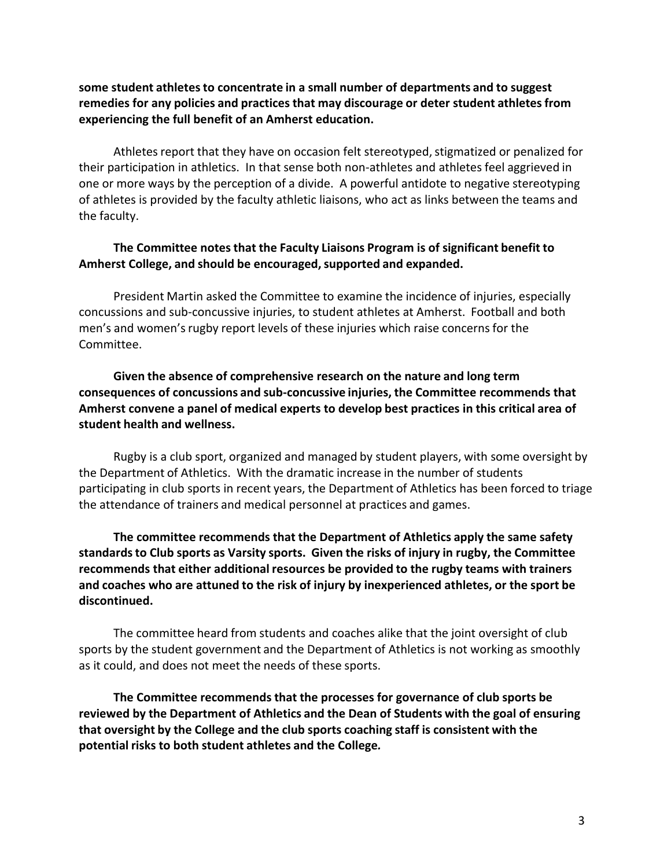**some student athletes to concentrate in a small number of departments and to suggest remedies for any policies and practices that may discourage or deter student athletes from experiencing the full benefit of an Amherst education.**

Athletes report that they have on occasion felt stereotyped, stigmatized or penalized for their participation in athletics. In that sense both non-athletes and athletes feel aggrieved in one or more ways by the perception of a divide. A powerful antidote to negative stereotyping of athletes is provided by the faculty athletic liaisons, who act as links between the teams and the faculty.

#### **The Committee notes that the Faculty Liaisons Program is of significant benefit to Amherst College, and should be encouraged,supported and expanded.**

President Martin asked the Committee to examine the incidence of injuries, especially concussions and sub-concussive injuries, to student athletes at Amherst. Football and both men's and women's rugby report levels of these injuries which raise concerns for the Committee.

**Given the absence of comprehensive research on the nature and long term consequences of concussions and sub-concussive injuries, the Committee recommends that Amherst convene a panel of medical experts to develop best practices in this critical area of student health and wellness.**

Rugby is a club sport, organized and managed by student players, with some oversight by the Department of Athletics. With the dramatic increase in the number of students participating in club sports in recent years, the Department of Athletics has been forced to triage the attendance of trainers and medical personnel at practices and games.

**The committee recommends that the Department of Athletics apply the same safety standardsto Club sports as Varsity sports. Given the risks of injury in rugby, the Committee recommends that either additional resources be provided to the rugby teams with trainers and coaches who are attuned to the risk of injury by inexperienced athletes, or the sport be discontinued.**

The committee heard from students and coaches alike that the joint oversight of club sports by the student government and the Department of Athletics is not working as smoothly as it could, and does not meet the needs of these sports.

**The Committee recommends that the processes for governance of club sports be reviewed** by the Department of Athletics and the Dean of Students with the goal of ensuring **that oversight** by the College and the club sports coaching staff is consistent with the **potential risks to both student athletes and the College***.*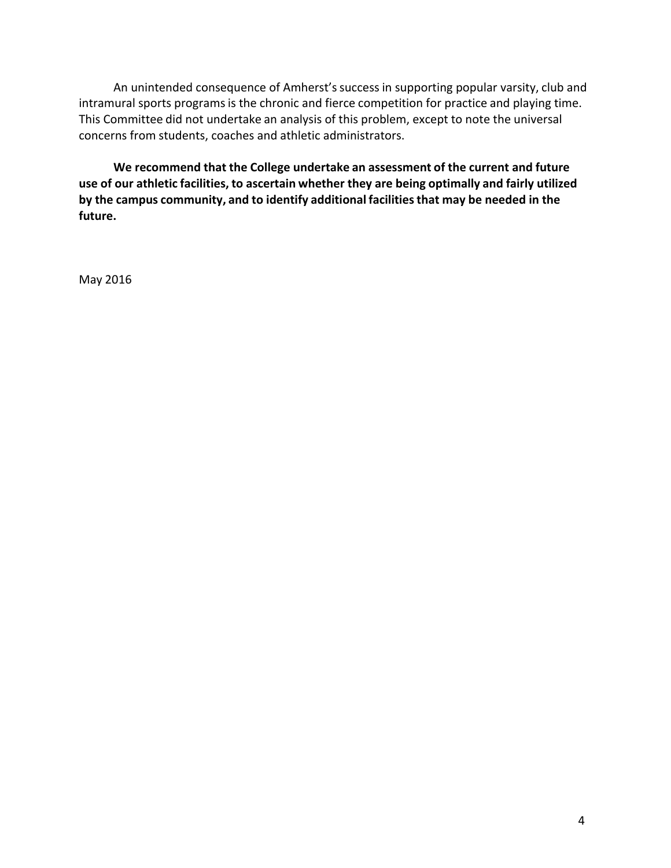An unintended consequence of Amherst's success in supporting popular varsity, club and intramural sports programs is the chronic and fierce competition for practice and playing time. This Committee did not undertake an analysis of this problem, except to note the universal concerns from students, coaches and athletic administrators.

**We recommend that the College undertake an assessment of the current and future use of our athletic facilities, to ascertain whether they are being optimally and fairly utilized by** the campus community, and to identify additional facilities that may be needed in the **future.**

May 2016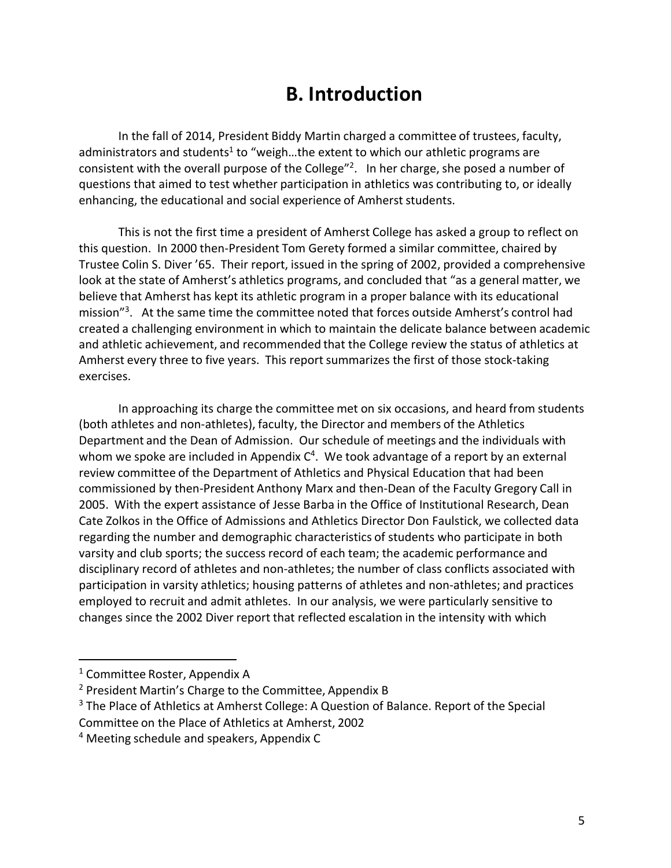# **B. Introduction**

In the fall of 2014, President Biddy Martin charged a committee of trustees, faculty, administrators and students<sup>1</sup> to "weigh...the extent to which our athletic programs are consistent with the overall purpose of the College"<sup>2</sup>. In her charge, she posed a number of questions that aimed to test whether participation in athletics was contributing to, or ideally enhancing, the educational and social experience of Amherst students.

This is not the first time a president of Amherst College has asked a group to reflect on this question. In 2000 then-President Tom Gerety formed a similar committee, chaired by Trustee Colin S. Diver '65. Their report, issued in the spring of 2002, provided a comprehensive look at the state of Amherst's athletics programs, and concluded that "as a general matter, we believe that Amherst has kept its athletic program in a proper balance with its educational mission"<sup>3</sup>. At the same time the committee noted that forces outside Amherst's control had created a challenging environment in which to maintain the delicate balance between academic and athletic achievement, and recommended that the College review the status of athletics at Amherst every three to five years. This report summarizes the first of those stock-taking exercises.

In approaching its charge the committee met on six occasions, and heard from students (both athletes and non-athletes), faculty, the Director and members of the Athletics Department and the Dean of Admission. Our schedule of meetings and the individuals with whom we spoke are included in Appendix  $C<sup>4</sup>$ . We took advantage of a report by an external review committee of the Department of Athletics and Physical Education that had been commissioned by then-President Anthony Marx and then-Dean of the Faculty Gregory Call in 2005. With the expert assistance of Jesse Barba in the Office of Institutional Research, Dean Cate Zolkos in the Office of Admissions and Athletics Director Don Faulstick, we collected data regarding the number and demographic characteristics of students who participate in both varsity and club sports; the success record of each team; the academic performance and disciplinary record of athletes and non-athletes; the number of class conflicts associated with participation in varsity athletics; housing patterns of athletes and non-athletes; and practices employed to recruit and admit athletes. In our analysis, we were particularly sensitive to changes since the 2002 Diver report that reflected escalation in the intensity with which

 $1$  Committee Roster, Appendix A

 $2$  President Martin's Charge to the Committee, Appendix B

 $3$  The Place of Athletics at Amherst College: A Question of Balance. Report of the Special

Committee on the Place of Athletics at Amherst, 2002

 $4$  Meeting schedule and speakers, Appendix C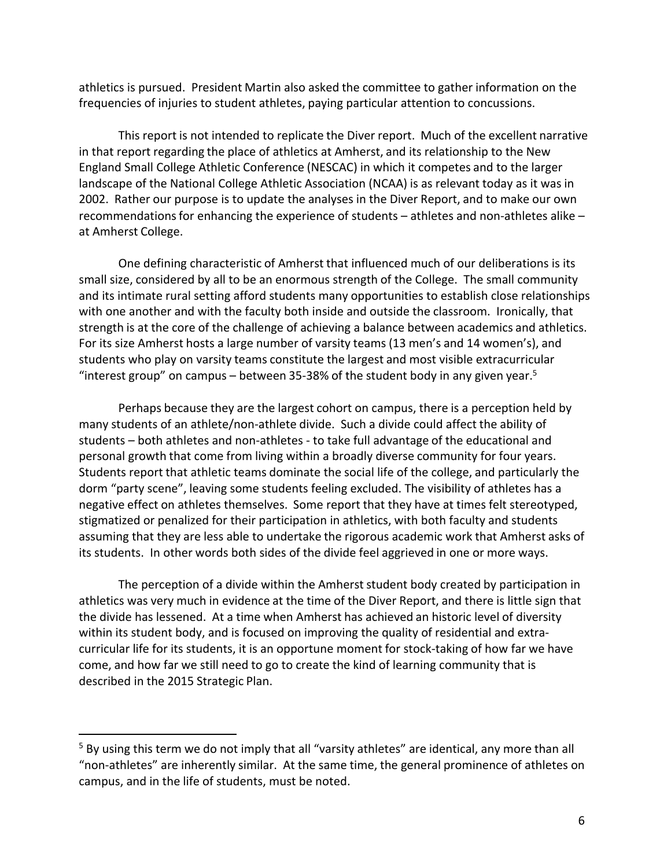athletics is pursued. President Martin also asked the committee to gather information on the frequencies of injuries to student athletes, paying particular attention to concussions.

This report is not intended to replicate the Diver report. Much of the excellent narrative in that report regarding the place of athletics at Amherst, and its relationship to the New England Small College Athletic Conference (NESCAC) in which it competes and to the larger landscape of the National College Athletic Association (NCAA) is as relevant today as it was in 2002. Rather our purpose is to update the analyses in the Diver Report, and to make our own recommendations for enhancing the experience of students – athletes and non-athletes alike – at Amherst College.

One defining characteristic of Amherst that influenced much of our deliberations is its small size, considered by all to be an enormous strength of the College. The small community and its intimate rural setting afford students many opportunities to establish close relationships with one another and with the faculty both inside and outside the classroom. Ironically, that strength is at the core of the challenge of achieving a balance between academics and athletics. For its size Amherst hosts a large number of varsity teams (13 men's and 14 women's), and students who play on varsity teams constitute the largest and most visible extracurricular "interest group" on campus – between 35-38% of the student body in any given year.<sup>5</sup>

Perhaps because they are the largest cohort on campus, there is a perception held by many students of an athlete/non-athlete divide. Such a divide could affect the ability of students – both athletes and non-athletes - to take full advantage of the educational and personal growth that come from living within a broadly diverse community for four years. Students report that athletic teams dominate the social life of the college, and particularly the dorm "party scene", leaving some students feeling excluded. The visibility of athletes has a negative effect on athletes themselves. Some report that they have at times felt stereotyped, stigmatized or penalized for their participation in athletics, with both faculty and students assuming that they are less able to undertake the rigorous academic work that Amherst asks of its students. In other words both sides of the divide feel aggrieved in one or more ways.

The perception of a divide within the Amherst student body created by participation in athletics was very much in evidence at the time of the Diver Report, and there is little sign that the divide has lessened. At a time when Amherst has achieved an historic level of diversity within its student body, and is focused on improving the quality of residential and extracurricular life for its students, it is an opportune moment for stock-taking of how far we have come, and how far we still need to go to create the kind of learning community that is described in the 2015 Strategic Plan.

<sup>&</sup>lt;sup>5</sup> By using this term we do not imply that all "varsity athletes" are identical, any more than all "non-athletes" are inherently similar. At the same time, the general prominence of athletes on campus, and in the life of students, must be noted.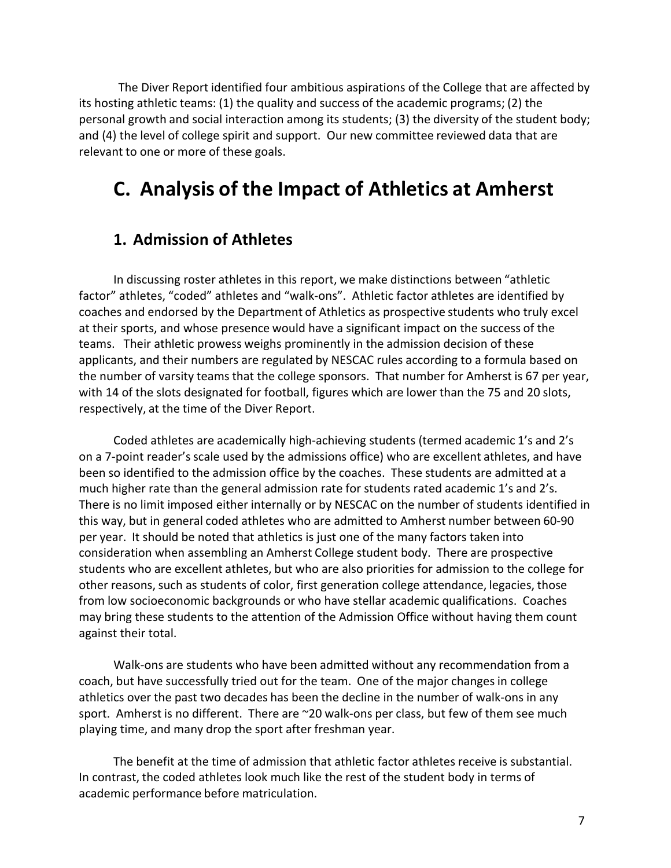The Diver Report identified four ambitious aspirations of the College that are affected by its hosting athletic teams:  $(1)$  the quality and success of the academic programs;  $(2)$  the personal growth and social interaction among its students; (3) the diversity of the student body; and (4) the level of college spirit and support. Our new committee reviewed data that are relevant to one or more of these goals.

# **C. Analysis of the Impact of Athletics at Amherst**

### **1. Admission of Athletes**

In discussing roster athletes in this report, we make distinctions between "athletic factor" athletes, "coded" athletes and "walk-ons". Athletic factor athletes are identified by coaches and endorsed by the Department of Athletics as prospective students who truly excel at their sports, and whose presence would have a significant impact on the success of the teams. Their athletic prowess weighs prominently in the admission decision of these applicants, and their numbers are regulated by NESCAC rules according to a formula based on the number of varsity teams that the college sponsors. That number for Amherst is 67 per year, with 14 of the slots designated for football, figures which are lower than the 75 and 20 slots, respectively, at the time of the Diver Report.

Coded athletes are academically high-achieving students (termed academic 1's and 2's on a 7-point reader's scale used by the admissions office) who are excellent athletes, and have been so identified to the admission office by the coaches. These students are admitted at a much higher rate than the general admission rate for students rated academic 1's and 2's. There is no limit imposed either internally or by NESCAC on the number of students identified in this way, but in general coded athletes who are admitted to Amherst number between 60-90 per year. It should be noted that athletics is just one of the many factors taken into consideration when assembling an Amherst College student body. There are prospective students who are excellent athletes, but who are also priorities for admission to the college for other reasons, such as students of color, first generation college attendance, legacies, those from low socioeconomic backgrounds or who have stellar academic qualifications. Coaches may bring these students to the attention of the Admission Office without having them count against their total.

Walk-ons are students who have been admitted without any recommendation from a coach, but have successfully tried out for the team. One of the major changes in college athletics over the past two decades has been the decline in the number of walk-ons in any sport. Amherst is no different. There are  $\sim$ 20 walk-ons per class, but few of them see much playing time, and many drop the sport after freshman year.

The benefit at the time of admission that athletic factor athletes receive is substantial. In contrast, the coded athletes look much like the rest of the student body in terms of academic performance before matriculation.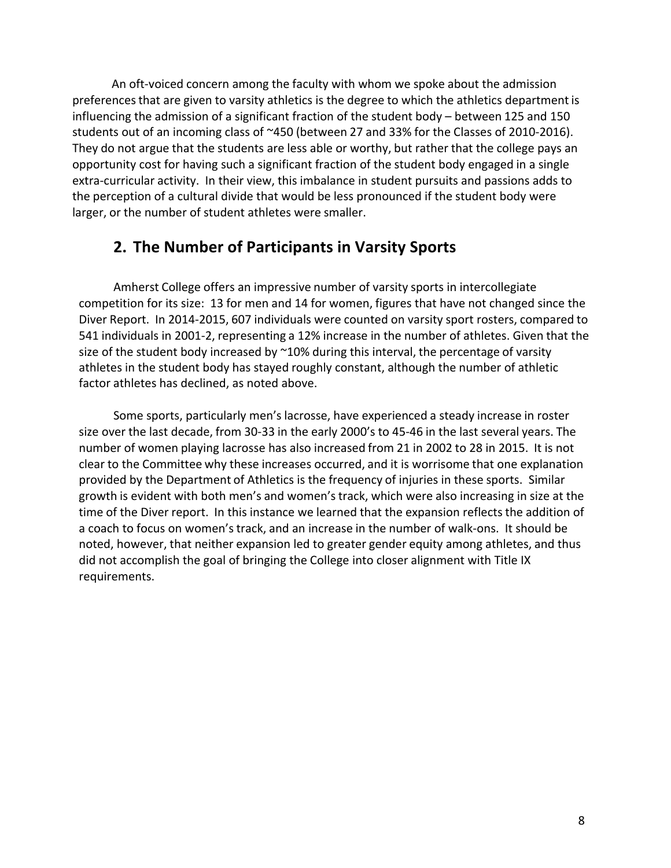An oft-voiced concern among the faculty with whom we spoke about the admission preferences that are given to varsity athletics is the degree to which the athletics department is influencing the admission of a significant fraction of the student body  $-$  between 125 and 150 students out of an incoming class of ~450 (between 27 and 33% for the Classes of 2010-2016). They do not argue that the students are less able or worthy, but rather that the college pays an opportunity cost for having such a significant fraction of the student body engaged in a single extra-curricular activity. In their view, this imbalance in student pursuits and passions adds to the perception of a cultural divide that would be less pronounced if the student body were larger, or the number of student athletes were smaller.

### **2. The Number of Participants in Varsity Sports**

Amherst College offers an impressive number of varsity sports in intercollegiate competition for its size: 13 for men and 14 for women, figures that have not changed since the Diver Report. In 2014-2015, 607 individuals were counted on varsity sport rosters, compared to 541 individuals in 2001-2, representing a 12% increase in the number of athletes. Given that the size of the student body increased by  $^{\sim}10\%$  during this interval, the percentage of varsity athletes in the student body has stayed roughly constant, although the number of athletic factor athletes has declined, as noted above.

Some sports, particularly men's lacrosse, have experienced a steady increase in roster size over the last decade, from 30-33 in the early 2000's to 45-46 in the last several years. The number of women playing lacrosse has also increased from 21 in 2002 to 28 in 2015. It is not clear to the Committee why these increases occurred, and it is worrisome that one explanation provided by the Department of Athletics is the frequency of injuries in these sports. Similar growth is evident with both men's and women's track, which were also increasing in size at the time of the Diver report. In this instance we learned that the expansion reflects the addition of a coach to focus on women's track, and an increase in the number of walk-ons. It should be noted, however, that neither expansion led to greater gender equity among athletes, and thus did not accomplish the goal of bringing the College into closer alignment with Title IX requirements.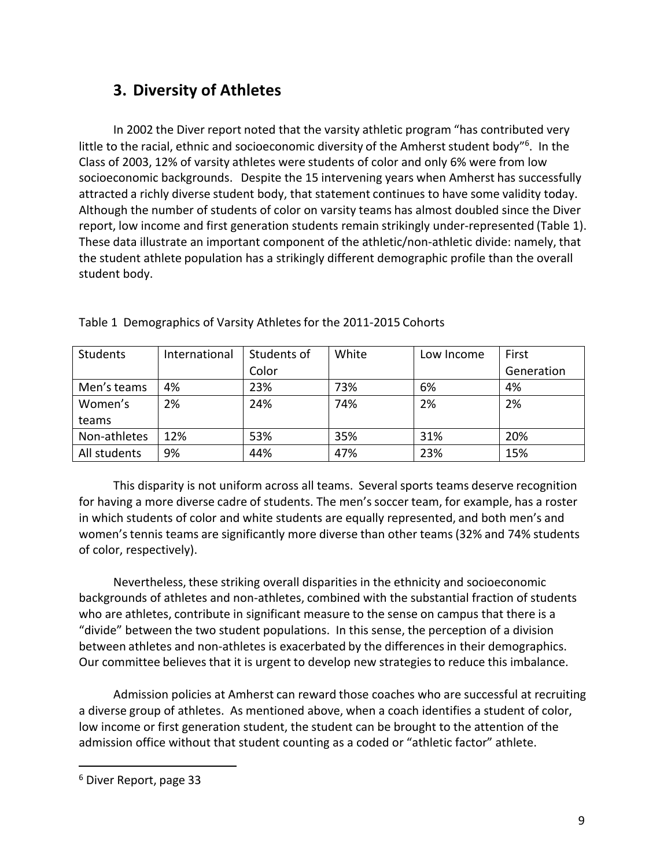### **3. Diversity of Athletes**

In 2002 the Diver report noted that the varsity athletic program "has contributed very little to the racial, ethnic and socioeconomic diversity of the Amherst student body"<sup>6</sup>. In the Class of 2003, 12% of varsity athletes were students of color and only 6% were from low socioeconomic backgrounds. Despite the 15 intervening years when Amherst has successfully attracted a richly diverse student body, that statement continues to have some validity today. Although the number of students of color on varsity teams has almost doubled since the Diver report, low income and first generation students remain strikingly under-represented (Table 1). These data illustrate an important component of the athletic/non-athletic divide: namely, that the student athlete population has a strikingly different demographic profile than the overall student body.

| <b>Students</b> | International | Students of | White | Low Income | First      |
|-----------------|---------------|-------------|-------|------------|------------|
|                 |               | Color       |       |            | Generation |
| Men's teams     | 4%            | 23%         | 73%   | 6%         | 4%         |
| Women's         | 2%            | 24%         | 74%   | 2%         | 2%         |
| teams           |               |             |       |            |            |
| Non-athletes    | 12%           | 53%         | 35%   | 31%        | 20%        |
| All students    | 9%            | 44%         | 47%   | 23%        | 15%        |

Table 1 Demographics of Varsity Athletes for the 2011-2015 Cohorts

This disparity is not uniform across all teams. Several sports teams deserve recognition for having a more diverse cadre of students. The men's soccer team, for example, has a roster in which students of color and white students are equally represented, and both men's and women's tennis teams are significantly more diverse than other teams (32% and 74% students of color, respectively).

Nevertheless, these striking overall disparities in the ethnicity and socioeconomic backgrounds of athletes and non-athletes, combined with the substantial fraction of students who are athletes, contribute in significant measure to the sense on campus that there is a "divide" between the two student populations. In this sense, the perception of a division between athletes and non-athletes is exacerbated by the differences in their demographics. Our committee believes that it is urgent to develop new strategies to reduce this imbalance.

Admission policies at Amherst can reward those coaches who are successful at recruiting a diverse group of athletes. As mentioned above, when a coach identifies a student of color, low income or first generation student, the student can be brought to the attention of the admission office without that student counting as a coded or "athletic factor" athlete.

<sup>6</sup> Diver Report, page 33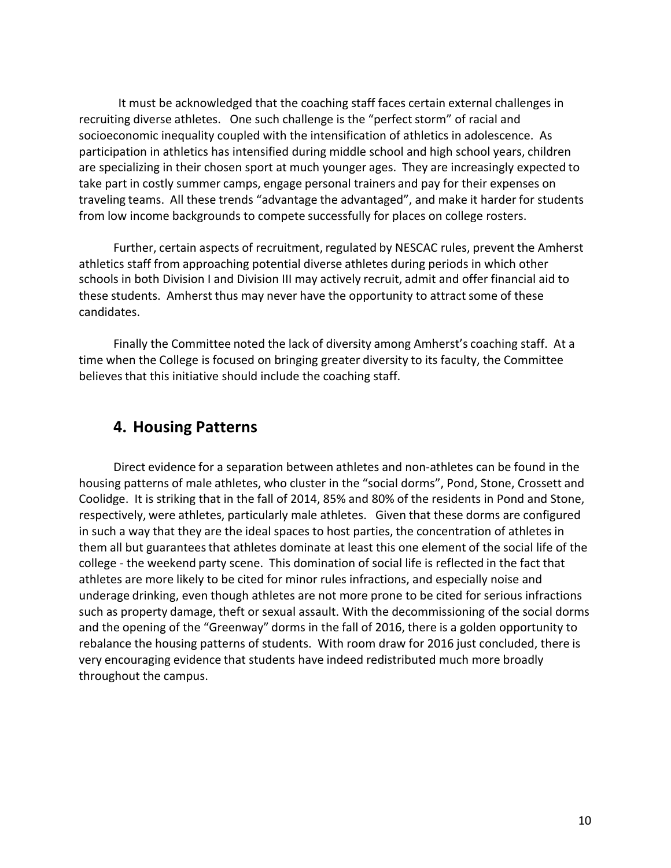It must be acknowledged that the coaching staff faces certain external challenges in recruiting diverse athletes. One such challenge is the "perfect storm" of racial and socioeconomic inequality coupled with the intensification of athletics in adolescence. As participation in athletics has intensified during middle school and high school years, children are specializing in their chosen sport at much younger ages. They are increasingly expected to take part in costly summer camps, engage personal trainers and pay for their expenses on traveling teams. All these trends "advantage the advantaged", and make it harder for students from low income backgrounds to compete successfully for places on college rosters.

Further, certain aspects of recruitment, regulated by NESCAC rules, prevent the Amherst athletics staff from approaching potential diverse athletes during periods in which other schools in both Division I and Division III may actively recruit, admit and offer financial aid to these students. Amherst thus may never have the opportunity to attract some of these candidates.

Finally the Committee noted the lack of diversity among Amherst's coaching staff. At a time when the College is focused on bringing greater diversity to its faculty, the Committee believes that this initiative should include the coaching staff.

### **4. Housing Patterns**

Direct evidence for a separation between athletes and non-athletes can be found in the housing patterns of male athletes, who cluster in the "social dorms", Pond, Stone, Crossett and Coolidge. It is striking that in the fall of 2014, 85% and 80% of the residents in Pond and Stone, respectively, were athletes, particularly male athletes. Given that these dorms are configured in such a way that they are the ideal spaces to host parties, the concentration of athletes in them all but guarantees that athletes dominate at least this one element of the social life of the college - the weekend party scene. This domination of social life is reflected in the fact that athletes are more likely to be cited for minor rules infractions, and especially noise and underage drinking, even though athletes are not more prone to be cited for serious infractions such as property damage, theft or sexual assault. With the decommissioning of the social dorms and the opening of the "Greenway" dorms in the fall of 2016, there is a golden opportunity to rebalance the housing patterns of students. With room draw for 2016 just concluded, there is very encouraging evidence that students have indeed redistributed much more broadly throughout the campus.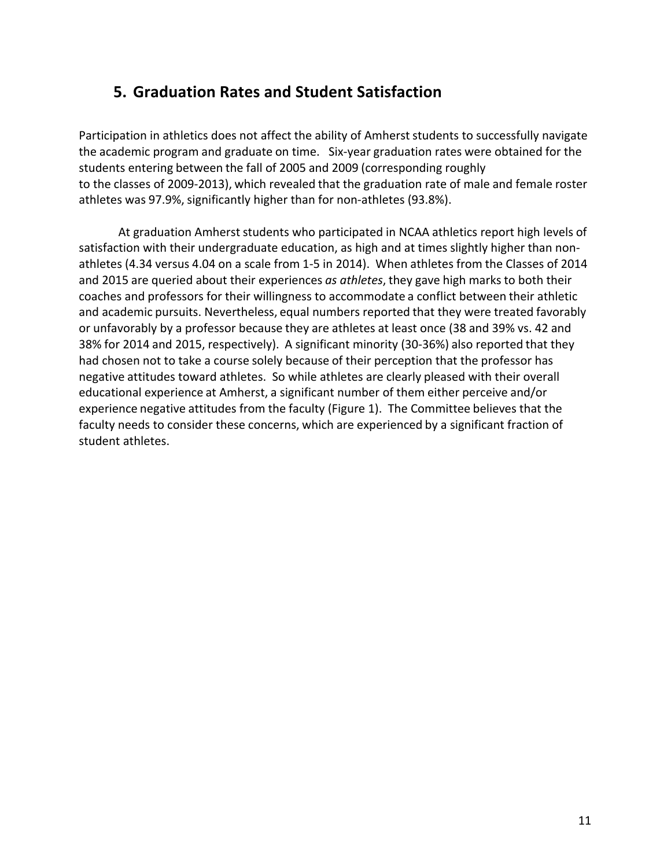### **5. Graduation Rates and Student Satisfaction**

Participation in athletics does not affect the ability of Amherst students to successfully navigate the academic program and graduate on time. Six-year graduation rates were obtained for the students entering between the fall of 2005 and 2009 (corresponding roughly to the classes of 2009-2013), which revealed that the graduation rate of male and female roster athletes was 97.9%, significantly higher than for non-athletes (93.8%).

At graduation Amherst students who participated in NCAA athletics report high levels of satisfaction with their undergraduate education, as high and at times slightly higher than nonathletes (4.34 versus 4.04 on a scale from 1-5 in 2014). When athletes from the Classes of 2014 and 2015 are queried about their experiences *as athletes*, they gave high marks to both their coaches and professors for their willingness to accommodate a conflict between their athletic and academic pursuits. Nevertheless, equal numbers reported that they were treated favorably or unfavorably by a professor because they are athletes at least once (38 and 39% vs. 42 and 38% for 2014 and 2015, respectively). A significant minority (30-36%) also reported that they had chosen not to take a course solely because of their perception that the professor has negative attitudes toward athletes. So while athletes are clearly pleased with their overall educational experience at Amherst, a significant number of them either perceive and/or experience negative attitudes from the faculty (Figure 1). The Committee believes that the faculty needs to consider these concerns, which are experienced by a significant fraction of student athletes.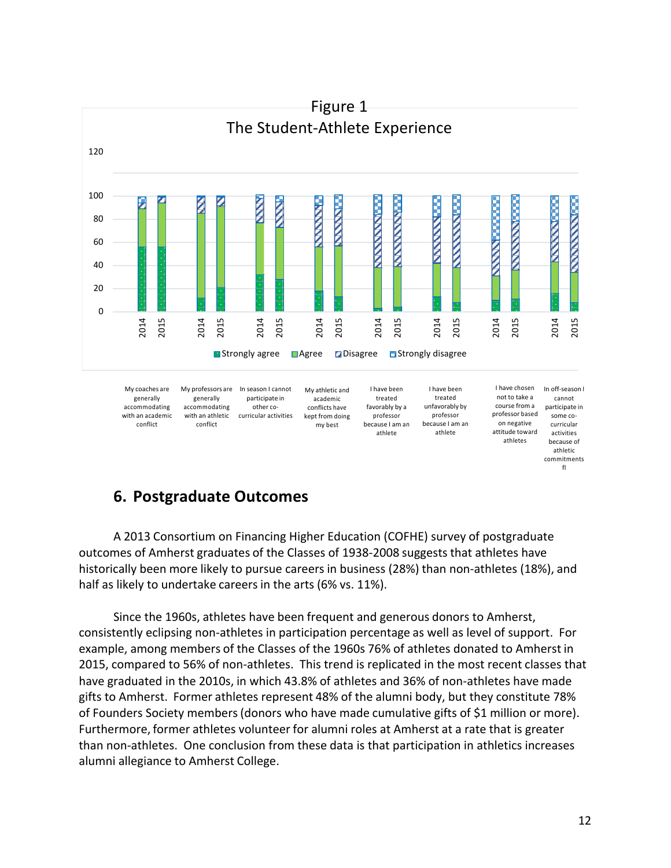

### **6. Postgraduate Outcomes**

A 2013 Consortium on Financing Higher Education (COFHE) survey of postgraduate outcomes of Amherst graduates of the Classes of 1938-2008 suggests that athletes have historically been more likely to pursue careers in business (28%) than non-athletes (18%), and half as likely to undertake careers in the arts (6% vs. 11%).

Since the 1960s, athletes have been frequent and generous donors to Amherst, consistently eclipsing non-athletes in participation percentage as well as level of support. For example, among members of the Classes of the 1960s 76% of athletes donated to Amherst in 2015, compared to 56% of non-athletes. This trend is replicated in the most recent classes that have graduated in the 2010s, in which 43.8% of athletes and 36% of non-athletes have made gifts to Amherst. Former athletes represent 48% of the alumni body, but they constitute 78% of Founders Society members (donors who have made cumulative gifts of \$1 million or more). Furthermore, former athletes volunteer for alumni roles at Amherst at a rate that is greater than non-athletes. One conclusion from these data is that participation in athletics increases alumni allegiance to Amherst College.

commitments fl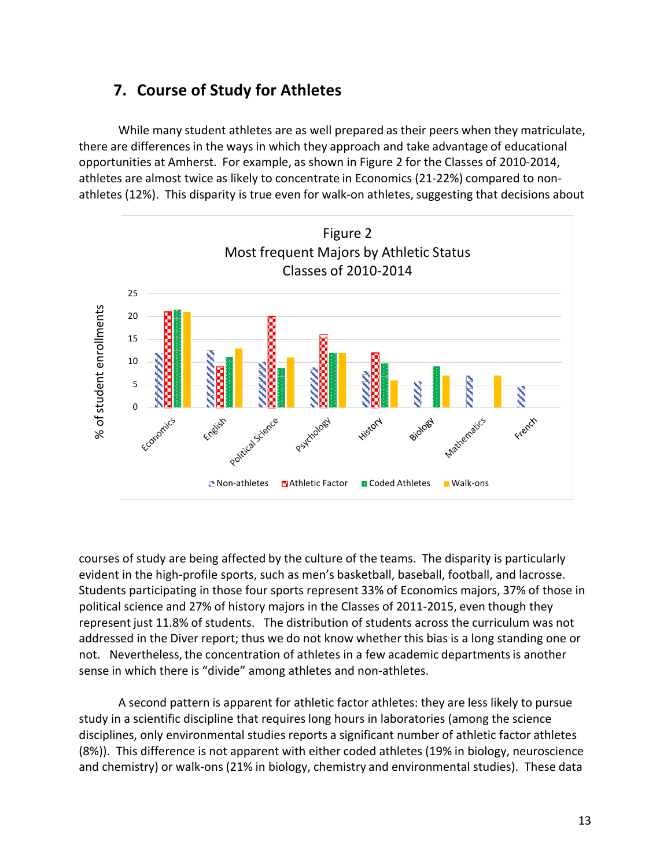While many student athletes are as well prepared as their peers when they matriculate, there are differences in the ways in which they approach and take advantage of educational opportunities at Amherst. For example, as shown in Figure 2 for the Classes of 2010-2014, athletes are almost twice as likely to concentrate in Economics (21-22%) compared to nonathletes (12%). This disparity is true even for walk-on athletes, suggesting that decisions about



courses of study are being affected by the culture of the teams. The disparity is particularly evident in the high-profile sports, such as men's basketball, baseball, football, and lacrosse. Students participating in those four sports represent 33% of Economics majors, 37% of those in political science and 27% of history majors in the Classes of 2011-2015, even though they represent just 11.8% of students. The distribution of students across the curriculum was not addressed in the Diver report; thus we do not know whether this bias is a long standing one or not. Nevertheless, the concentration of athletes in a few academic departments is another sense in which there is "divide" among athletes and non-athletes.

A second pattern is apparent for athletic factor athletes: they are less likely to pursue study in a scientific discipline that requires long hours in laboratories (among the science disciplines, only environmental studies reports a significant number of athletic factor athletes (8%)). This difference is not apparent with either coded athletes (19% in biology, neuroscience and chemistry) or walk-ons (21% in biology, chemistry and environmental studies). These data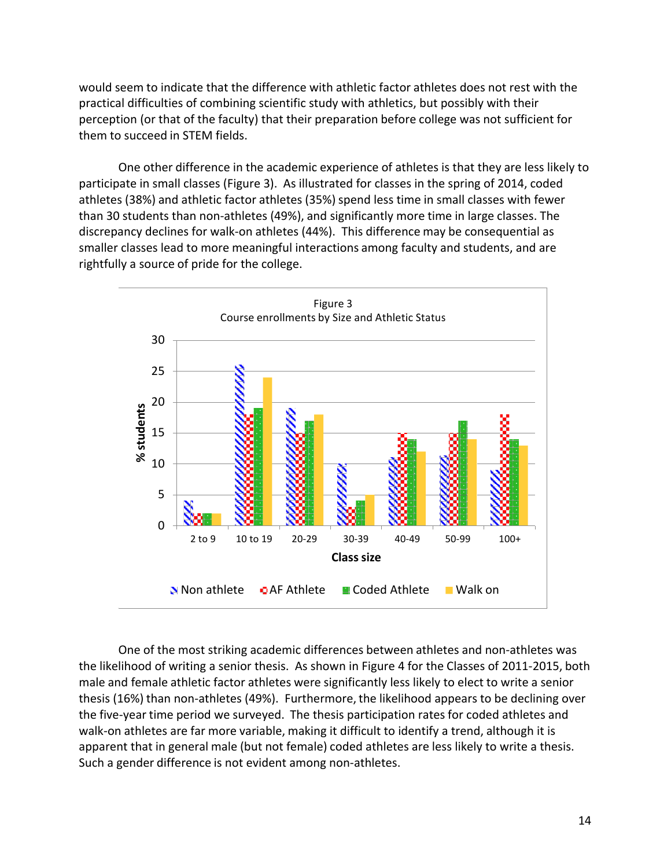would seem to indicate that the difference with athletic factor athletes does not rest with the practical difficulties of combining scientific study with athletics, but possibly with their perception (or that of the faculty) that their preparation before college was not sufficient for them to succeed in STEM fields.

One other difference in the academic experience of athletes is that they are less likely to participate in small classes (Figure 3). As illustrated for classes in the spring of 2014, coded athletes (38%) and athletic factor athletes (35%) spend less time in small classes with fewer than 30 students than non-athletes (49%), and significantly more time in large classes. The discrepancy declines for walk-on athletes (44%). This difference may be consequential as smaller classes lead to more meaningful interactions among faculty and students, and are rightfully a source of pride for the college.



One of the most striking academic differences between athletes and non-athletes was the likelihood of writing a senior thesis. As shown in Figure 4 for the Classes of 2011-2015, both male and female athletic factor athletes were significantly less likely to elect to write a senior thesis (16%) than non-athletes (49%). Furthermore, the likelihood appears to be declining over the five-year time period we surveyed. The thesis participation rates for coded athletes and walk-on athletes are far more variable, making it difficult to identify a trend, although it is apparent that in general male (but not female) coded athletes are less likely to write a thesis. Such a gender difference is not evident among non-athletes.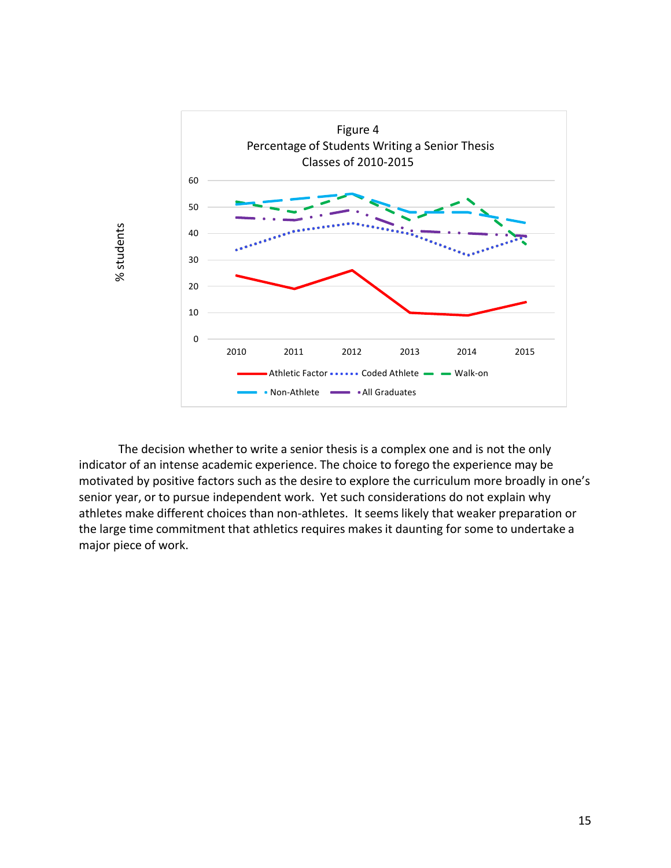

The decision whether to write a senior thesis is a complex one and is not the only indicator of an intense academic experience. The choice to forego the experience may be motivated by positive factors such as the desire to explore the curriculum more broadly in one's senior year, or to pursue independent work. Yet such considerations do not explain why athletes make different choices than non-athletes. It seems likely that weaker preparation or the large time commitment that athletics requires makes it daunting for some to undertake a major piece of work.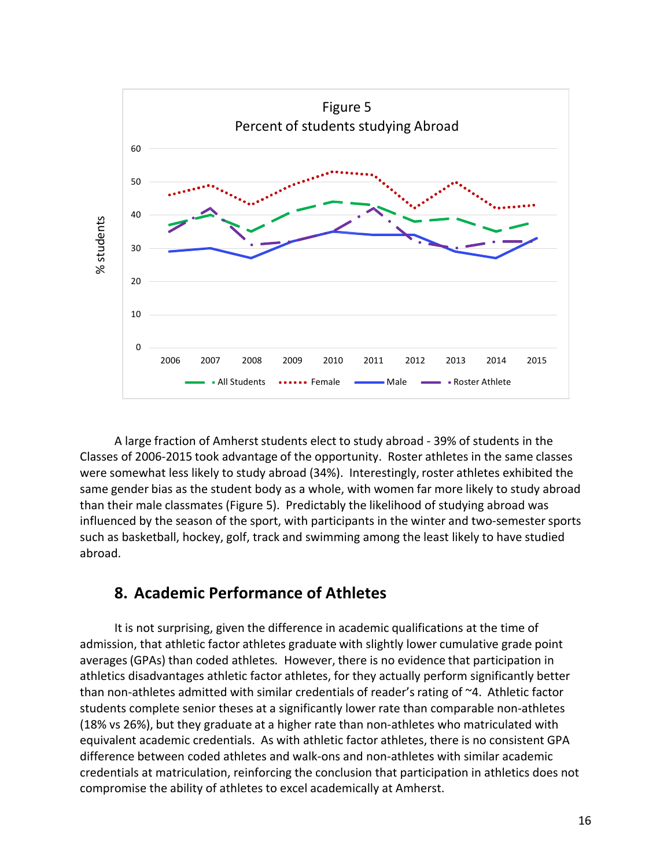

A large fraction of Amherst students elect to study abroad - 39% of students in the Classes of 2006-2015 took advantage of the opportunity. Roster athletes in the same classes were somewhat less likely to study abroad (34%). Interestingly, roster athletes exhibited the same gender bias as the student body as a whole, with women far more likely to study abroad than their male classmates (Figure 5). Predictably the likelihood of studying abroad was influenced by the season of the sport, with participants in the winter and two-semester sports such as basketball, hockey, golf, track and swimming among the least likely to have studied abroad.

### **8. Academic Performance of Athletes**

It is not surprising, given the difference in academic qualifications at the time of admission, that athletic factor athletes graduate with slightly lower cumulative grade point averages (GPAs) than coded athletes. However, there is no evidence that participation in athletics disadvantages athletic factor athletes, for they actually perform significantly better than non-athletes admitted with similar credentials of reader's rating of  $\sim$ 4. Athletic factor students complete senior theses at a significantly lower rate than comparable non-athletes (18% vs 26%), but they graduate at a higher rate than non-athletes who matriculated with equivalent academic credentials. As with athletic factor athletes, there is no consistent GPA difference between coded athletes and walk-ons and non-athletes with similar academic credentials at matriculation, reinforcing the conclusion that participation in athletics does not compromise the ability of athletes to excel academically at Amherst.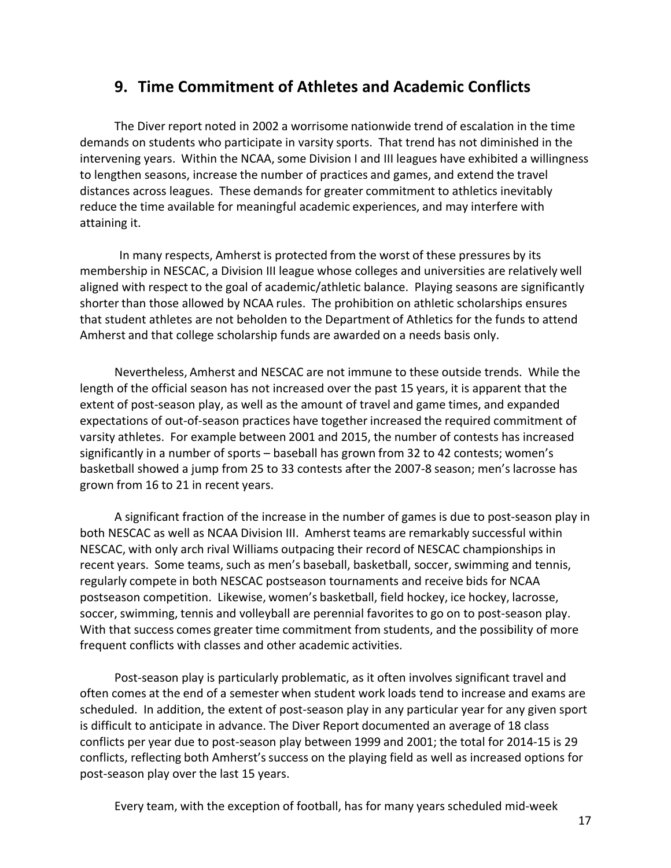### **9. Time Commitment of Athletes and Academic Conflicts**

The Diver report noted in 2002 a worrisome nationwide trend of escalation in the time demands on students who participate in varsity sports. That trend has not diminished in the intervening years. Within the NCAA, some Division I and III leagues have exhibited a willingness to lengthen seasons, increase the number of practices and games, and extend the travel distances across leagues. These demands for greater commitment to athletics inevitably reduce the time available for meaningful academic experiences, and may interfere with attaining it.

In many respects, Amherst is protected from the worst of these pressures by its membership in NESCAC, a Division III league whose colleges and universities are relatively well aligned with respect to the goal of academic/athletic balance. Playing seasons are significantly shorter than those allowed by NCAA rules. The prohibition on athletic scholarships ensures that student athletes are not beholden to the Department of Athletics for the funds to attend Amherst and that college scholarship funds are awarded on a needs basis only.

Nevertheless, Amherst and NESCAC are not immune to these outside trends. While the length of the official season has not increased over the past 15 years, it is apparent that the extent of post-season play, as well as the amount of travel and game times, and expanded expectations of out-of-season practices have together increased the required commitment of varsity athletes. For example between 2001 and 2015, the number of contests has increased significantly in a number of sports – baseball has grown from 32 to 42 contests; women's basketball showed a jump from 25 to 33 contests after the 2007-8 season; men's lacrosse has grown from 16 to 21 in recent years.

A significant fraction of the increase in the number of games is due to post-season play in both NESCAC as well as NCAA Division III. Amherst teams are remarkably successful within NESCAC, with only arch rival Williams outpacing their record of NESCAC championships in recent years. Some teams, such as men's baseball, basketball, soccer, swimming and tennis, regularly compete in both NESCAC postseason tournaments and receive bids for NCAA postseason competition. Likewise, women's basketball, field hockey, ice hockey, lacrosse, soccer, swimming, tennis and volleyball are perennial favorites to go on to post-season play. With that success comes greater time commitment from students, and the possibility of more frequent conflicts with classes and other academic activities.

Post-season play is particularly problematic, as it often involves significant travel and often comes at the end of a semester when student work loads tend to increase and exams are scheduled. In addition, the extent of post-season play in any particular year for any given sport is difficult to anticipate in advance. The Diver Report documented an average of 18 class conflicts per year due to post-season play between 1999 and 2001; the total for 2014-15 is 29 conflicts, reflecting both Amherst's success on the playing field as well as increased options for post-season play over the last 15 years.

Every team, with the exception of football, has for many years scheduled mid-week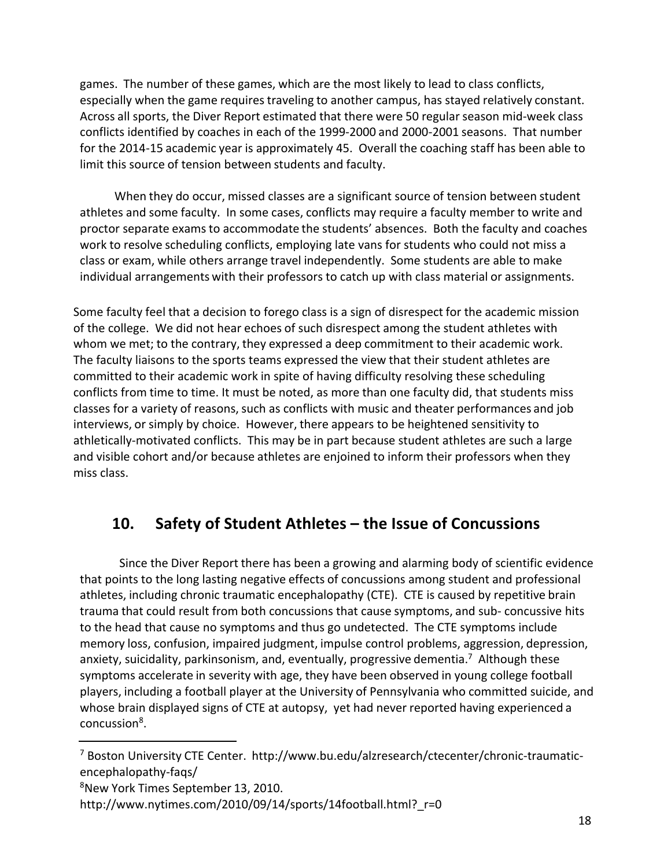games. The number of these games, which are the most likely to lead to class conflicts, especially when the game requires traveling to another campus, has stayed relatively constant. Across all sports, the Diver Report estimated that there were 50 regular season mid-week class conflicts identified by coaches in each of the 1999-2000 and 2000-2001 seasons. That number for the 2014-15 academic year is approximately 45. Overall the coaching staff has been able to limit this source of tension between students and faculty.

When they do occur, missed classes are a significant source of tension between student athletes and some faculty. In some cases, conflicts may require a faculty member to write and proctor separate exams to accommodate the students' absences. Both the faculty and coaches work to resolve scheduling conflicts, employing late vans for students who could not miss a class or exam, while others arrange travel independently. Some students are able to make individual arrangements with their professors to catch up with class material or assignments.

Some faculty feel that a decision to forego class is a sign of disrespect for the academic mission of the college. We did not hear echoes of such disrespect among the student athletes with whom we met; to the contrary, they expressed a deep commitment to their academic work. The faculty liaisons to the sports teams expressed the view that their student athletes are committed to their academic work in spite of having difficulty resolving these scheduling conflicts from time to time. It must be noted, as more than one faculty did, that students miss classes for a variety of reasons, such as conflicts with music and theater performances and job interviews, or simply by choice. However, there appears to be heightened sensitivity to athletically-motivated conflicts. This may be in part because student athletes are such a large and visible cohort and/or because athletes are enjoined to inform their professors when they miss class.

### **10. Safety of Student Athletes – the Issue of Concussions**

Since the Diver Report there has been a growing and alarming body of scientific evidence that points to the long lasting negative effects of concussions among student and professional athletes, including chronic traumatic encephalopathy (CTE). CTE is caused by repetitive brain trauma that could result from both concussions that cause symptoms, and sub- concussive hits to the head that cause no symptoms and thus go undetected. The CTE symptoms include memory loss, confusion, impaired judgment, impulse control problems, aggression, depression, anxiety, suicidality, parkinsonism, and, eventually, progressive dementia.<sup>7</sup> Although these symptoms accelerate in severity with age, they have been observed in young college football players, including a football player at the University of Pennsylvania who committed suicide, and whose brain displayed signs of CTE at autopsy, yet had never reported having experienced a concussion<sup>8</sup>.

<sup>7</sup> Boston University CTE Center. http://www.bu.edu/alzresearch/ctecenter/chronic-traumaticencephalopathy-faqs/

<sup>8</sup> New York Times September 13, 2010.

http://www.nytimes.com/2010/09/14/sports/14football.html?\_r=0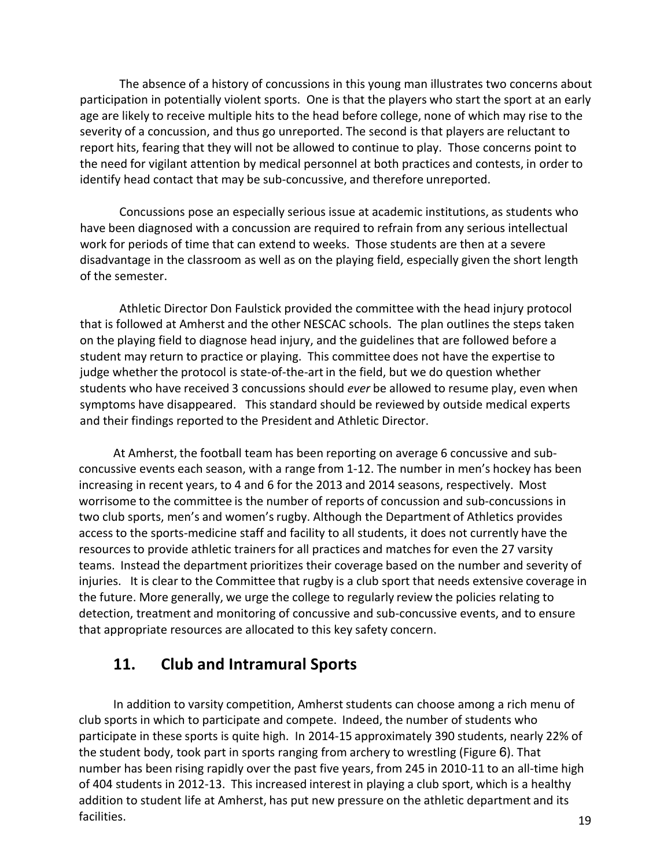The absence of a history of concussions in this young man illustrates two concerns about participation in potentially violent sports. One is that the players who start the sport at an early age are likely to receive multiple hits to the head before college, none of which may rise to the severity of a concussion, and thus go unreported. The second is that players are reluctant to report hits, fearing that they will not be allowed to continue to play. Those concerns point to the need for vigilant attention by medical personnel at both practices and contests, in order to identify head contact that may be sub-concussive, and therefore unreported.

Concussions pose an especially serious issue at academic institutions, as students who have been diagnosed with a concussion are required to refrain from any serious intellectual work for periods of time that can extend to weeks. Those students are then at a severe disadvantage in the classroom as well as on the playing field, especially given the short length of the semester.

Athletic Director Don Faulstick provided the committee with the head injury protocol that is followed at Amherst and the other NESCAC schools. The plan outlines the steps taken on the playing field to diagnose head injury, and the guidelines that are followed before a student may return to practice or playing. This committee does not have the expertise to judge whether the protocol is state-of-the-art in the field, but we do question whether students who have received 3 concussions should *ever* be allowed to resume play, even when symptoms have disappeared. This standard should be reviewed by outside medical experts and their findings reported to the President and Athletic Director.

At Amherst, the football team has been reporting on average 6 concussive and subconcussive events each season, with a range from 1-12. The number in men's hockey has been increasing in recent years, to 4 and 6 for the 2013 and 2014 seasons, respectively. Most worrisome to the committee is the number of reports of concussion and sub-concussions in two club sports, men's and women's rugby. Although the Department of Athletics provides access to the sports-medicine staff and facility to all students, it does not currently have the resources to provide athletic trainers for all practices and matches for even the 27 varsity teams. Instead the department prioritizes their coverage based on the number and severity of injuries. It is clear to the Committee that rugby is a club sport that needs extensive coverage in the future. More generally, we urge the college to regularly review the policies relating to detection, treatment and monitoring of concussive and sub-concussive events, and to ensure that appropriate resources are allocated to this key safety concern.

### 11. Club and Intramural Sports

In addition to varsity competition, Amherst students can choose among a rich menu of club sports in which to participate and compete. Indeed, the number of students who participate in these sports is quite high. In 2014-15 approximately 390 students, nearly 22% of the student body, took part in sports ranging from archery to wrestling (Figure 6). That number has been rising rapidly over the past five years, from 245 in 2010-11 to an all-time high of 404 students in 2012-13. This increased interest in playing a club sport, which is a healthy addition to student life at Amherst, has put new pressure on the athletic department and its facilities.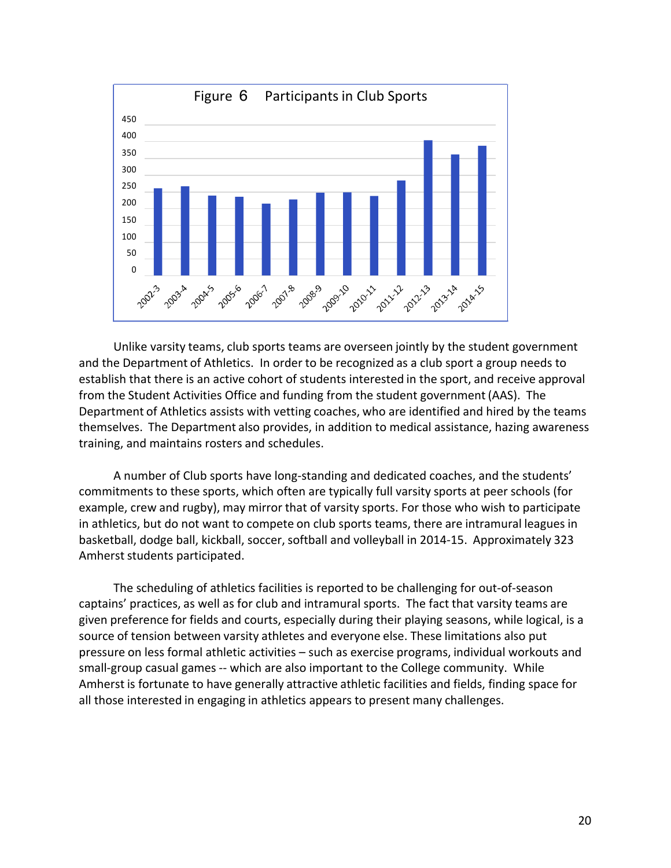

Unlike varsity teams, club sports teams are overseen jointly by the student government and the Department of Athletics. In order to be recognized as a club sport a group needs to establish that there is an active cohort of students interested in the sport, and receive approval from the Student Activities Office and funding from the student government (AAS). The Department of Athletics assists with vetting coaches, who are identified and hired by the teams themselves. The Department also provides, in addition to medical assistance, hazing awareness training, and maintains rosters and schedules.

A number of Club sports have long-standing and dedicated coaches, and the students' commitments to these sports, which often are typically full varsity sports at peer schools (for example, crew and rugby), may mirror that of varsity sports. For those who wish to participate in athletics, but do not want to compete on club sports teams, there are intramural leagues in basketball, dodge ball, kickball, soccer, softball and volleyball in 2014-15. Approximately 323 Amherst students participated.

The scheduling of athletics facilities is reported to be challenging for out-of-season captains' practices, as well as for club and intramural sports. The fact that varsity teams are given preference for fields and courts, especially during their playing seasons, while logical, is a source of tension between varsity athletes and everyone else. These limitations also put pressure on less formal athletic activities – such as exercise programs, individual workouts and small-group casual games -- which are also important to the College community. While Amherst is fortunate to have generally attractive athletic facilities and fields, finding space for all those interested in engaging in athletics appears to present many challenges.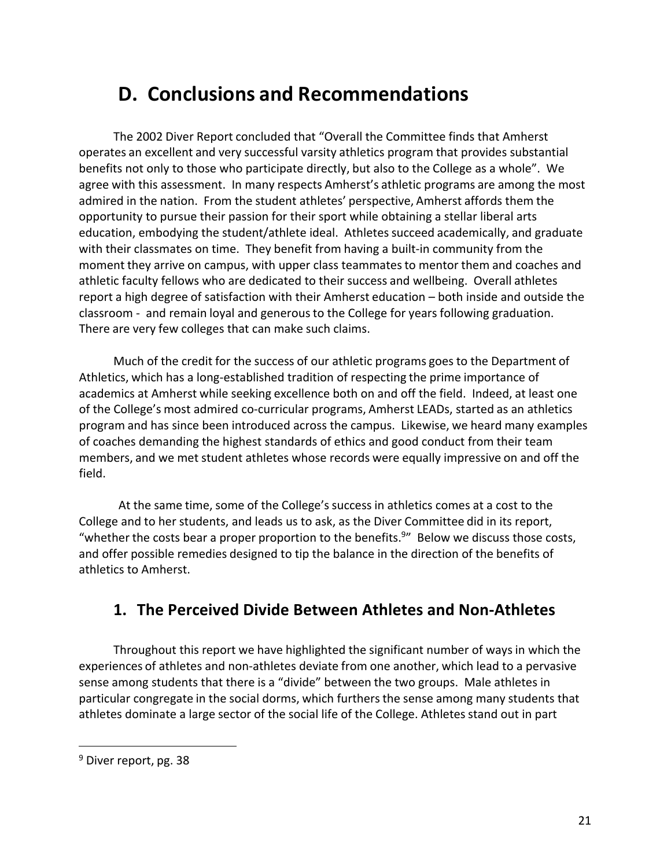# **D. Conclusions and Recommendations**

The 2002 Diver Report concluded that "Overall the Committee finds that Amherst operates an excellent and very successful varsity athletics program that provides substantial benefits not only to those who participate directly, but also to the College as a whole". We agree with this assessment. In many respects Amherst's athletic programs are among the most admired in the nation. From the student athletes' perspective, Amherst affords them the opportunity to pursue their passion for their sport while obtaining a stellar liberal arts education, embodying the student/athlete ideal. Athletes succeed academically, and graduate with their classmates on time. They benefit from having a built-in community from the moment they arrive on campus, with upper class teammates to mentor them and coaches and athletic faculty fellows who are dedicated to their success and wellbeing. Overall athletes report a high degree of satisfaction with their Amherst education – both inside and outside the classroom - and remain loyal and generous to the College for years following graduation. There are very few colleges that can make such claims.

Much of the credit for the success of our athletic programs goes to the Department of Athletics, which has a long-established tradition of respecting the prime importance of academics at Amherst while seeking excellence both on and off the field. Indeed, at least one of the College's most admired co-curricular programs, Amherst LEADs, started as an athletics program and has since been introduced across the campus. Likewise, we heard many examples of coaches demanding the highest standards of ethics and good conduct from their team members, and we met student athletes whose records were equally impressive on and off the field.

At the same time, some of the College's success in athletics comes at a cost to the College and to her students, and leads us to ask, as the Diver Committee did in its report, "whether the costs bear a proper proportion to the benefits.<sup>9</sup>" Below we discuss those costs, and offer possible remedies designed to tip the balance in the direction of the benefits of athletics to Amherst.

### **1. The Perceived Divide Between Athletes and Non-Athletes**

Throughout this report we have highlighted the significant number of ways in which the experiences of athletes and non-athletes deviate from one another, which lead to a pervasive sense among students that there is a "divide" between the two groups. Male athletes in particular congregate in the social dorms, which furthers the sense among many students that athletes dominate a large sector of the social life of the College. Athletes stand out in part

<sup>&</sup>lt;sup>9</sup> Diver report, pg. 38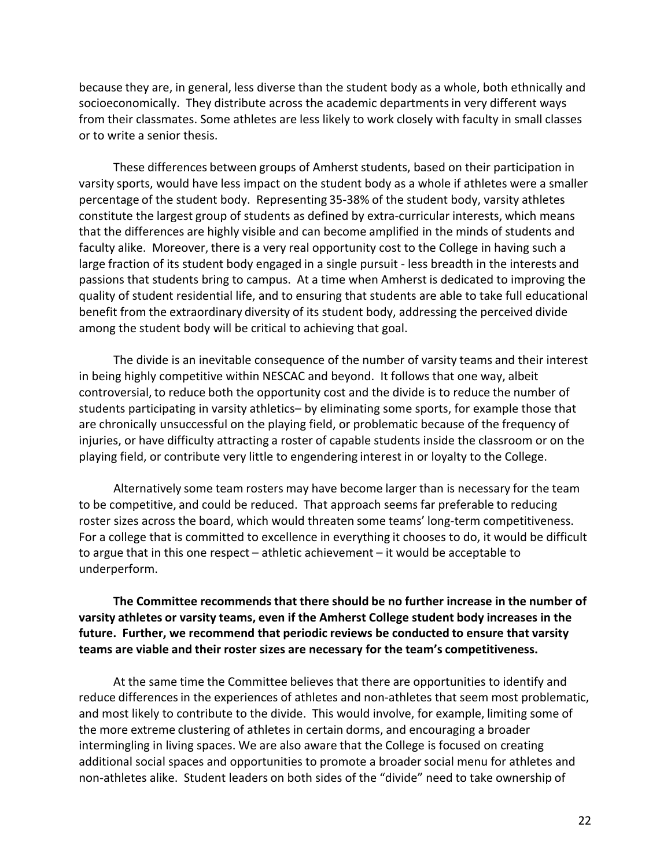because they are, in general, less diverse than the student body as a whole, both ethnically and socioeconomically. They distribute across the academic departments in very different ways from their classmates. Some athletes are less likely to work closely with faculty in small classes or to write a senior thesis.

These differences between groups of Amherst students, based on their participation in varsity sports, would have less impact on the student body as a whole if athletes were a smaller percentage of the student body. Representing 35-38% of the student body, varsity athletes constitute the largest group of students as defined by extra-curricular interests, which means that the differences are highly visible and can become amplified in the minds of students and faculty alike. Moreover, there is a very real opportunity cost to the College in having such a large fraction of its student body engaged in a single pursuit - less breadth in the interests and passions that students bring to campus. At a time when Amherst is dedicated to improving the quality of student residential life, and to ensuring that students are able to take full educational benefit from the extraordinary diversity of its student body, addressing the perceived divide among the student body will be critical to achieving that goal.

The divide is an inevitable consequence of the number of varsity teams and their interest in being highly competitive within NESCAC and beyond. It follows that one way, albeit controversial, to reduce both the opportunity cost and the divide is to reduce the number of students participating in varsity athletics– by eliminating some sports, for example those that are chronically unsuccessful on the playing field, or problematic because of the frequency of injuries, or have difficulty attracting a roster of capable students inside the classroom or on the playing field, or contribute very little to engendering interest in or loyalty to the College.

Alternatively some team rosters may have become larger than is necessary for the team to be competitive, and could be reduced. That approach seems far preferable to reducing roster sizes across the board, which would threaten some teams' long-term competitiveness. For a college that is committed to excellence in everything it chooses to do, it would be difficult to argue that in this one respect – athletic achievement – it would be acceptable to underperform.

#### **The Committee recommends that there should be no further increase in the number of varsity athletes or varsity teams, even if the Amherst College student body increases in the future. Further, we recommend that periodic reviews be conducted to ensure that varsity teams are viable and their roster sizes are necessary for the team's competitiveness.**

At the same time the Committee believes that there are opportunities to identify and reduce differences in the experiences of athletes and non-athletes that seem most problematic, and most likely to contribute to the divide. This would involve, for example, limiting some of the more extreme clustering of athletes in certain dorms, and encouraging a broader intermingling in living spaces. We are also aware that the College is focused on creating additional social spaces and opportunities to promote a broader social menu for athletes and non-athletes alike. Student leaders on both sides of the "divide" need to take ownership of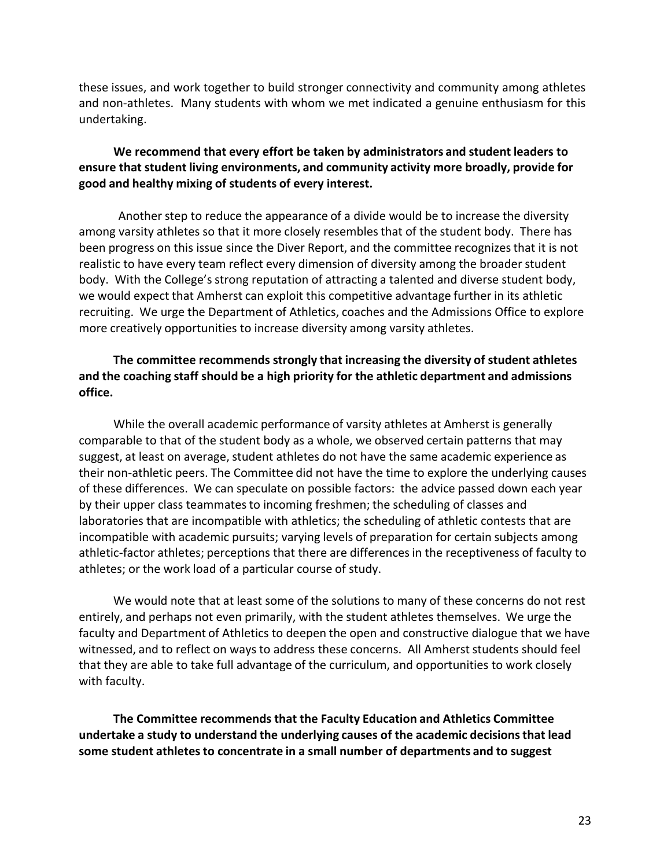these issues, and work together to build stronger connectivity and community among athletes and non-athletes. Many students with whom we met indicated a genuine enthusiasm for this undertaking.

### **We recommend that every effort be taken by administrators and student leaders to ensure that student living environments, and community activity more broadly, provide for good and healthy mixing of students of every interest.**

Another step to reduce the appearance of a divide would be to increase the diversity among varsity athletes so that it more closely resembles that of the student body. There has been progress on this issue since the Diver Report, and the committee recognizes that it is not realistic to have every team reflect every dimension of diversity among the broader student body. With the College's strong reputation of attracting a talented and diverse student body, we would expect that Amherst can exploit this competitive advantage further in its athletic recruiting. We urge the Department of Athletics, coaches and the Admissions Office to explore more creatively opportunities to increase diversity among varsity athletes.

### **The committee recommends strongly that increasing the diversity of student athletes and the coaching staff should be a high priority for the athletic department and admissions office.**

While the overall academic performance of varsity athletes at Amherst is generally comparable to that of the student body as a whole, we observed certain patterns that may suggest, at least on average, student athletes do not have the same academic experience as their non-athletic peers. The Committee did not have the time to explore the underlying causes of these differences. We can speculate on possible factors: the advice passed down each year by their upper class teammates to incoming freshmen; the scheduling of classes and laboratories that are incompatible with athletics; the scheduling of athletic contests that are incompatible with academic pursuits; varying levels of preparation for certain subjects among athletic-factor athletes; perceptions that there are differences in the receptiveness of faculty to athletes; or the work load of a particular course of study.

We would note that at least some of the solutions to many of these concerns do not rest entirely, and perhaps not even primarily, with the student athletes themselves. We urge the faculty and Department of Athletics to deepen the open and constructive dialogue that we have witnessed, and to reflect on ways to address these concerns. All Amherst students should feel that they are able to take full advantage of the curriculum, and opportunities to work closely with faculty.

**The Committee recommends that the Faculty Education and Athletics Committee undertake a study to understand the underlying causes of the academic decisionsthat lead some student athletesto concentrate in a small number of departments and to suggest**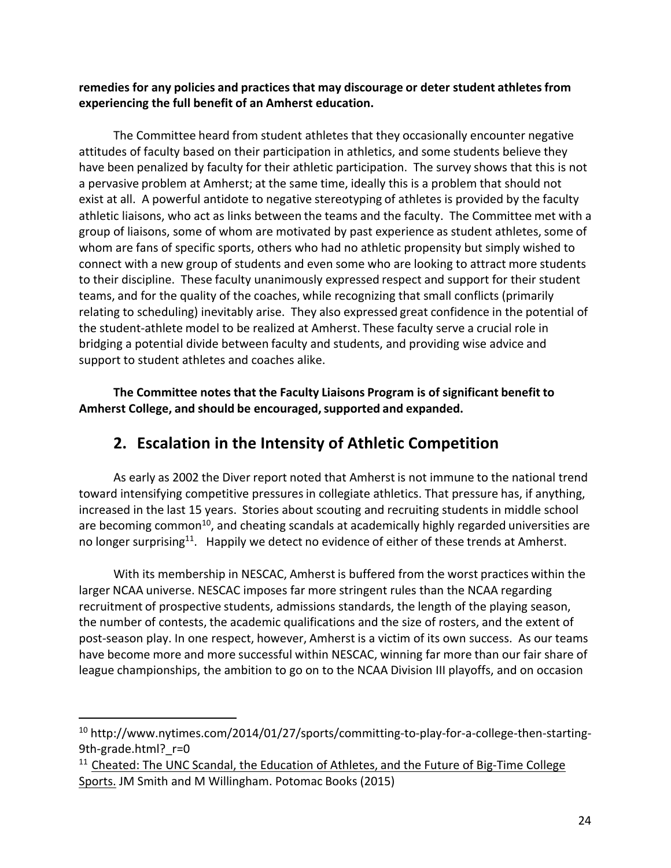**remedies for any policies and practices that may discourage or deter student athletes from experiencing the full benefit of an Amherst education.**

The Committee heard from student athletes that they occasionally encounter negative attitudes of faculty based on their participation in athletics, and some students believe they have been penalized by faculty for their athletic participation. The survey shows that this is not a pervasive problem at Amherst; at the same time, ideally this is a problem that should not exist at all. A powerful antidote to negative stereotyping of athletes is provided by the faculty athletic liaisons, who act as links between the teams and the faculty. The Committee met with a group of liaisons, some of whom are motivated by past experience as student athletes, some of whom are fans of specific sports, others who had no athletic propensity but simply wished to connect with a new group of students and even some who are looking to attract more students to their discipline. These faculty unanimously expressed respect and support for their student teams, and for the quality of the coaches, while recognizing that small conflicts (primarily relating to scheduling) inevitably arise. They also expressed great confidence in the potential of the student-athlete model to be realized at Amherst. These faculty serve a crucial role in bridging a potential divide between faculty and students, and providing wise advice and support to student athletes and coaches alike.

**The Committee notes that the Faculty Liaisons Program is of significant benefit to Amherst College, and should be encouraged,supported and expanded.**

### **2. Escalation in the Intensity of Athletic Competition**

As early as 2002 the Diver report noted that Amherst is not immune to the national trend toward intensifying competitive pressures in collegiate athletics. That pressure has, if anything, increased in the last 15 years. Stories about scouting and recruiting students in middle school are becoming common<sup>10</sup>, and cheating scandals at academically highly regarded universities are no longer surprising<sup>11</sup>. Happily we detect no evidence of either of these trends at Amherst.

With its membership in NESCAC, Amherst is buffered from the worst practices within the larger NCAA universe. NESCAC imposes far more stringent rules than the NCAA regarding recruitment of prospective students, admissions standards, the length of the playing season, the number of contests, the academic qualifications and the size of rosters, and the extent of post-season play. In one respect, however, Amherst is a victim of its own success. As our teams have become more and more successful within NESCAC, winning far more than our fair share of league championships, the ambition to go on to the NCAA Division III playoffs, and on occasion

<sup>&</sup>lt;sup>10</sup> http://www.nytimes.com/2014/01/27/sports/committing-to-play-for-a-college-then-starting-9th-grade.html? r=0

 $11$  Cheated: The UNC Scandal, the Education of Athletes, and the Future of Big-Time College Sports. JM Smith and M Willingham. Potomac Books (2015)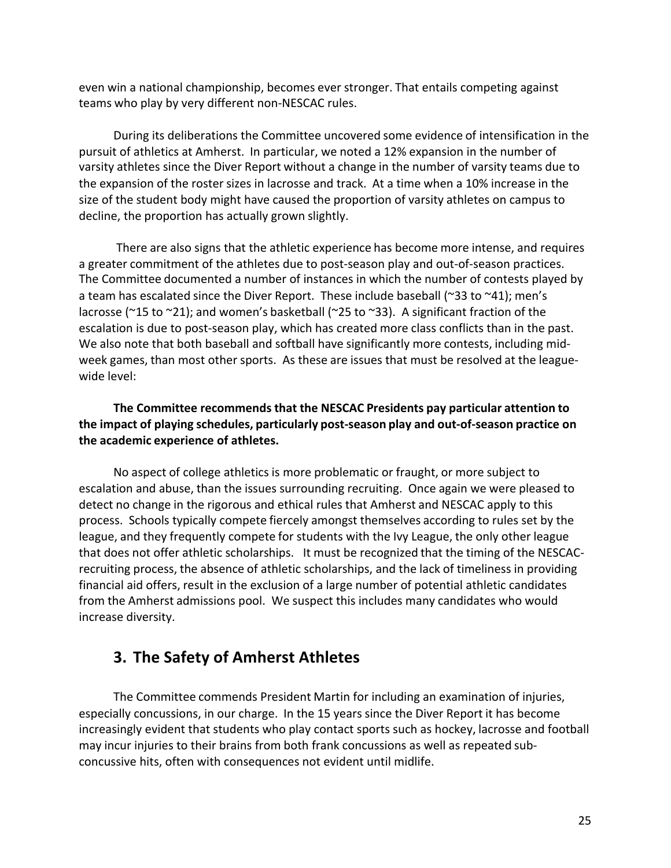even win a national championship, becomes ever stronger. That entails competing against teams who play by very different non-NESCAC rules.

During its deliberations the Committee uncovered some evidence of intensification in the pursuit of athletics at Amherst. In particular, we noted a 12% expansion in the number of varsity athletes since the Diver Report without a change in the number of varsity teams due to the expansion of the roster sizes in lacrosse and track. At a time when a 10% increase in the size of the student body might have caused the proportion of varsity athletes on campus to decline, the proportion has actually grown slightly.

There are also signs that the athletic experience has become more intense, and requires a greater commitment of the athletes due to post-season play and out-of-season practices. The Committee documented a number of instances in which the number of contests played by a team has escalated since the Diver Report. These include baseball ( $\approx$ 33 to  $\approx$ 41); men's lacrosse ( $\approx$ 15 to  $\approx$ 21); and women's basketball ( $\approx$ 25 to  $\approx$ 33). A significant fraction of the escalation is due to post-season play, which has created more class conflicts than in the past. We also note that both baseball and softball have significantly more contests, including midweek games, than most other sports. As these are issues that must be resolved at the leaguewide level:

### **The Committee recommends that the NESCAC Presidents pay particular attention to the impact of playing schedules, particularly post-season play and out-of-season practice on the academic experience of athletes.**

No aspect of college athletics is more problematic or fraught, or more subject to escalation and abuse, than the issues surrounding recruiting. Once again we were pleased to detect no change in the rigorous and ethical rules that Amherst and NESCAC apply to this process. Schools typically compete fiercely amongst themselves according to rules set by the league, and they frequently compete for students with the Ivy League, the only other league that does not offer athletic scholarships. It must be recognized that the timing of the NESCACrecruiting process, the absence of athletic scholarships, and the lack of timeliness in providing financial aid offers, result in the exclusion of a large number of potential athletic candidates from the Amherst admissions pool. We suspect this includes many candidates who would increase diversity.

### **3. The Safety of Amherst Athletes**

The Committee commends President Martin for including an examination of injuries, especially concussions, in our charge. In the 15 years since the Diver Report it has become increasingly evident that students who play contact sports such as hockey, lacrosse and football may incur injuries to their brains from both frank concussions as well as repeated subconcussive hits, often with consequences not evident until midlife.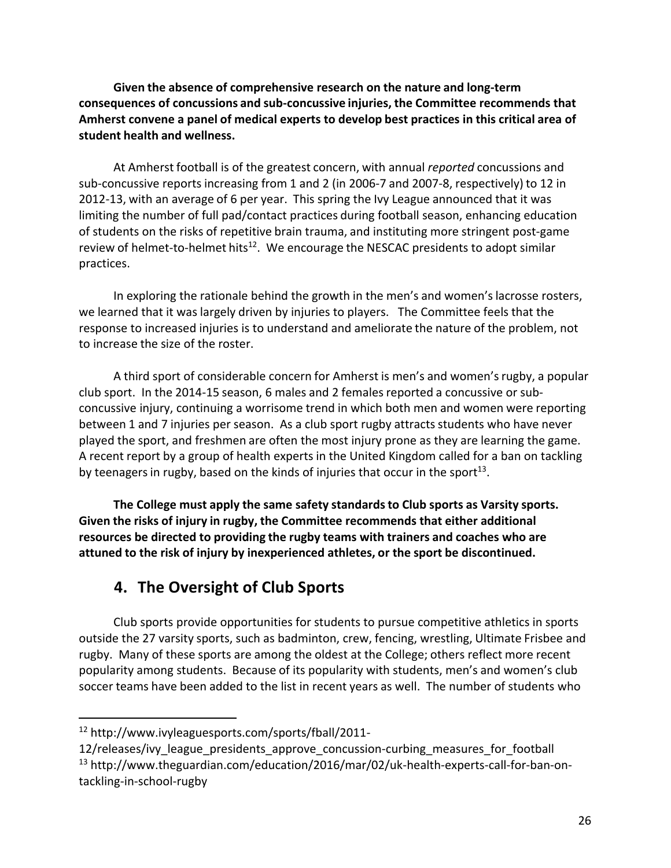**Given the absence of comprehensive research on the nature and long-term consequences of concussions and sub-concussive injuries, the Committee recommends that Amherst convene a panel of medical experts to develop best practices in this critical area of student health and wellness.**

At Amherst football is of the greatest concern, with annual *reported* concussions and sub-concussive reports increasing from 1 and 2 (in 2006-7 and 2007-8, respectively) to 12 in 2012-13, with an average of 6 per year. This spring the Ivy League announced that it was limiting the number of full pad/contact practices during football season, enhancing education of students on the risks of repetitive brain trauma, and instituting more stringent post-game review of helmet-to-helmet hits<sup>12</sup>. We encourage the NESCAC presidents to adopt similar practices.

In exploring the rationale behind the growth in the men's and women's lacrosse rosters, we learned that it was largely driven by injuries to players. The Committee feels that the response to increased injuries is to understand and ameliorate the nature of the problem, not to increase the size of the roster.

A third sport of considerable concern for Amherst is men's and women's rugby, a popular club sport. In the 2014-15 season, 6 males and 2 females reported a concussive or subconcussive injury, continuing a worrisome trend in which both men and women were reporting between 1 and 7 injuries per season. As a club sport rugby attracts students who have never played the sport, and freshmen are often the most injury prone as they are learning the game. A recent report by a group of health experts in the United Kingdom called for a ban on tackling by teenagers in rugby, based on the kinds of injuries that occur in the sport<sup>13</sup>.

**The College must apply the same safety standards to Club sports as Varsity sports. Given the risks of injury in rugby, the Committee recommends that either additional resources be directed to providing the rugby teams with trainers and coaches who are attuned to the risk of injury by inexperienced athletes, or the sport be discontinued.**

### **4. The Oversight of Club Sports**

Club sports provide opportunities for students to pursue competitive athletics in sports outside the 27 varsity sports, such as badminton, crew, fencing, wrestling, Ultimate Frisbee and rugby. Many of these sports are among the oldest at the College; others reflect more recent popularity among students. Because of its popularity with students, men's and women's club soccer teams have been added to the list in recent years as well. The number of students who

<sup>12</sup> http://www.ivyleaguesports.com/sports/fball/2011-

<sup>12/</sup>releases/ivy league presidents approve concussion-curbing measures for football <sup>13</sup> http://www.theguardian.com/education/2016/mar/02/uk-health-experts-call-for-ban-ontackling-in-school-rugby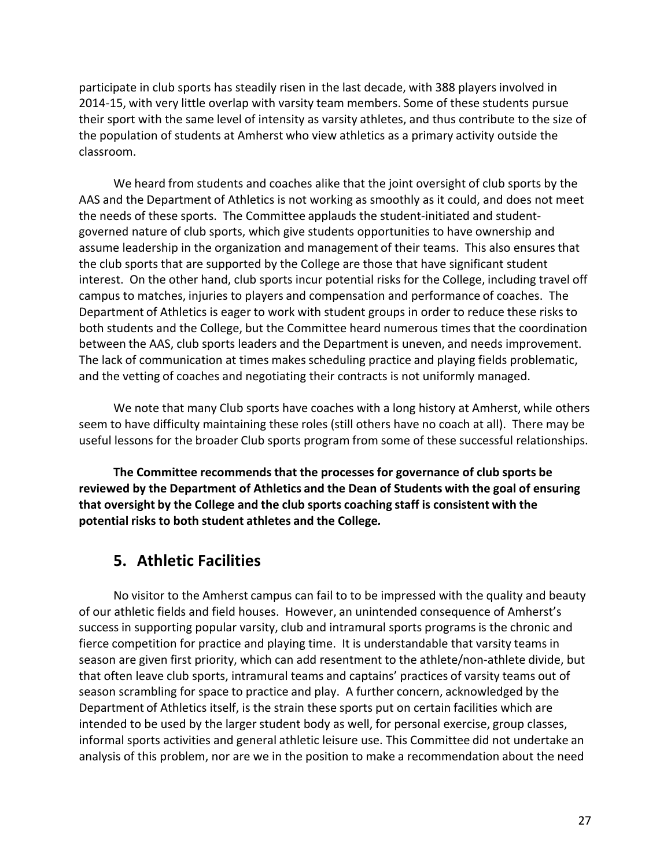participate in club sports has steadily risen in the last decade, with 388 players involved in 2014-15, with very little overlap with varsity team members. Some of these students pursue their sport with the same level of intensity as varsity athletes, and thus contribute to the size of the population of students at Amherst who view athletics as a primary activity outside the classroom.

We heard from students and coaches alike that the joint oversight of club sports by the AAS and the Department of Athletics is not working as smoothly as it could, and does not meet the needs of these sports. The Committee applauds the student-initiated and studentgoverned nature of club sports, which give students opportunities to have ownership and assume leadership in the organization and management of their teams. This also ensures that the club sports that are supported by the College are those that have significant student interest. On the other hand, club sports incur potential risks for the College, including travel off campus to matches, injuries to players and compensation and performance of coaches. The Department of Athletics is eager to work with student groups in order to reduce these risks to both students and the College, but the Committee heard numerous times that the coordination between the AAS, club sports leaders and the Department is uneven, and needs improvement. The lack of communication at times makes scheduling practice and playing fields problematic, and the vetting of coaches and negotiating their contracts is not uniformly managed.

We note that many Club sports have coaches with a long history at Amherst, while others seem to have difficulty maintaining these roles (still others have no coach at all). There may be useful lessons for the broader Club sports program from some of these successful relationships.

**The Committee recommends that the processes for governance of club sports be reviewed by the Department of Athletics and the Dean of Students with the goal of ensuring that** oversight by the College and the club sports coaching staff is consistent with the **potential risks to both student athletes and the College***.*

### **5. Athletic Facilities**

No visitor to the Amherst campus can fail to to be impressed with the quality and beauty of our athletic fields and field houses. However, an unintended consequence of Amherst's success in supporting popular varsity, club and intramural sports programs is the chronic and fierce competition for practice and playing time. It is understandable that varsity teams in season are given first priority, which can add resentment to the athlete/non-athlete divide, but that often leave club sports, intramural teams and captains' practices of varsity teams out of season scrambling for space to practice and play. A further concern, acknowledged by the Department of Athletics itself, is the strain these sports put on certain facilities which are intended to be used by the larger student body as well, for personal exercise, group classes, informal sports activities and general athletic leisure use. This Committee did not undertake an analysis of this problem, nor are we in the position to make a recommendation about the need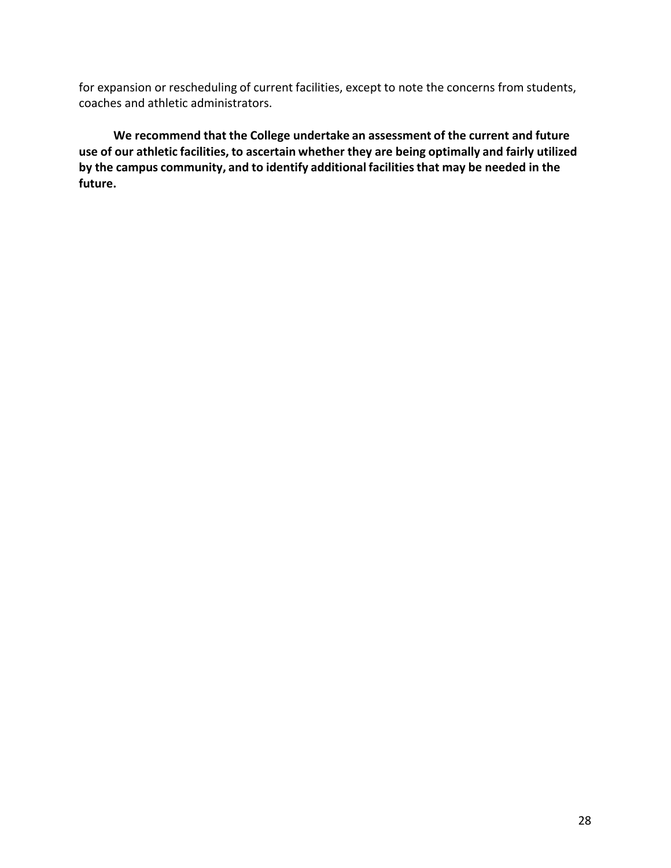for expansion or rescheduling of current facilities, except to note the concerns from students, coaches and athletic administrators.

**We recommend that the College undertake an assessment of the current and future use of our athletic facilities, to ascertain whether they are being optimally and fairly utilized by** the campus community, and to identify additional facilities that may be needed in the **future.**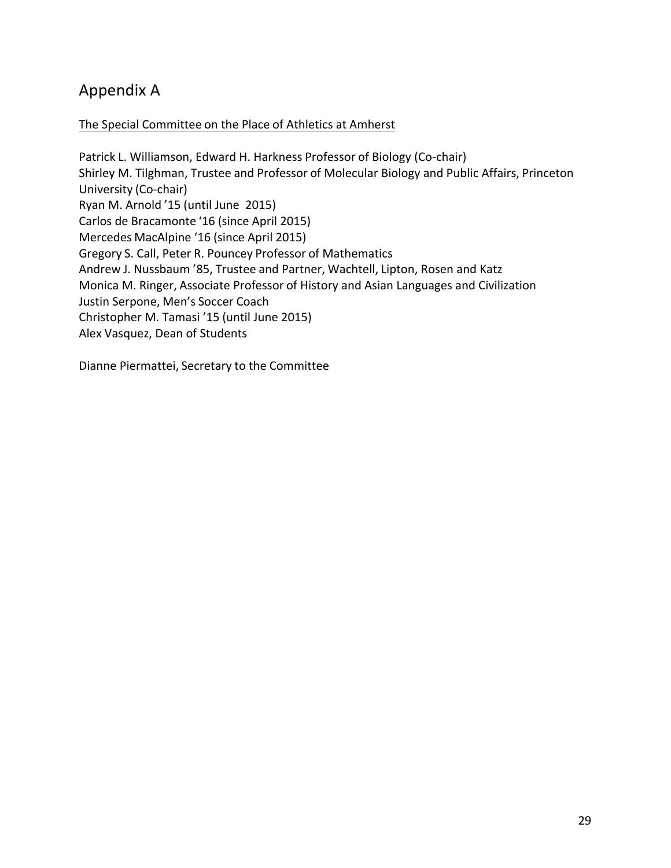### Appendix A

### The Special Committee on the Place of Athletics at Amherst

Patrick L. Williamson, Edward H. Harkness Professor of Biology (Co-chair) Shirley M. Tilghman, Trustee and Professor of Molecular Biology and Public Affairs, Princeton University (Co-chair) Ryan M. Arnold '15 (until June 2015) Carlos de Bracamonte '16 (since April 2015) Mercedes MacAlpine '16 (since April 2015) Gregory S. Call, Peter R. Pouncey Professor of Mathematics Andrew J. Nussbaum '85, Trustee and Partner, Wachtell, Lipton, Rosen and Katz Monica M. Ringer, Associate Professor of History and Asian Languages and Civilization Justin Serpone, Men's Soccer Coach Christopher M. Tamasi '15 (until June 2015) Alex Vasquez, Dean of Students

Dianne Piermattei, Secretary to the Committee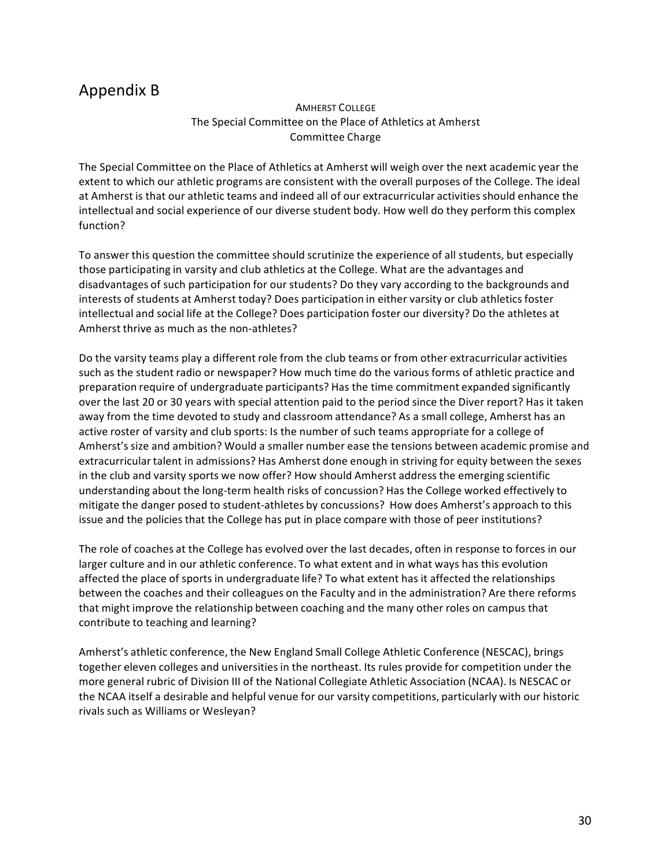### Appendix B

#### AMHERST COLLEGE The Special Committee on the Place of Athletics at Amherst Committee Charge

The Special Committee on the Place of Athletics at Amherst will weigh over the next academic year the extent to which our athletic programs are consistent with the overall purposes of the College. The ideal at Amherst is that our athletic teams and indeed all of our extracurricular activities should enhance the intellectual and social experience of our diverse student body. How well do they perform this complex function?

To answer this question the committee should scrutinize the experience of all students, but especially those participating in varsity and club athletics at the College. What are the advantages and disadvantages of such participation for our students? Do they vary according to the backgrounds and interests of students at Amherst today? Does participation in either varsity or club athletics foster intellectual and social life at the College? Does participation foster our diversity? Do the athletes at Amherst thrive as much as the non-athletes?

Do the varsity teams play a different role from the club teams or from other extracurricular activities such as the student radio or newspaper? How much time do the various forms of athletic practice and preparation require of undergraduate participants? Has the time commitment expanded significantly over the last 20 or 30 years with special attention paid to the period since the Diver report? Has it taken away from the time devoted to study and classroom attendance? As a small college, Amherst has an active roster of varsity and club sports: Is the number of such teams appropriate for a college of Amherst's size and ambition? Would a smaller number ease the tensions between academic promise and extracurricular talent in admissions? Has Amherst done enough in striving for equity between the sexes in the club and varsity sports we now offer? How should Amherst address the emerging scientific understanding about the long-term health risks of concussion? Has the College worked effectively to mitigate the danger posed to student-athletes by concussions? How does Amherst's approach to this issue and the policies that the College has put in place compare with those of peer institutions?

The role of coaches at the College has evolved over the last decades, often in response to forces in our larger culture and in our athletic conference. To what extent and in what ways has this evolution affected the place of sports in undergraduate life? To what extent has it affected the relationships between the coaches and their colleagues on the Faculty and in the administration? Are there reforms that might improve the relationship between coaching and the many other roles on campus that contribute to teaching and learning?

Amherst's athletic conference, the New England Small College Athletic Conference (NESCAC), brings together eleven colleges and universities in the northeast. Its rules provide for competition under the more general rubric of Division III of the National Collegiate Athletic Association (NCAA). Is NESCAC or the NCAA itself a desirable and helpful venue for our varsity competitions, particularly with our historic rivals such as Williams or Wesleyan?